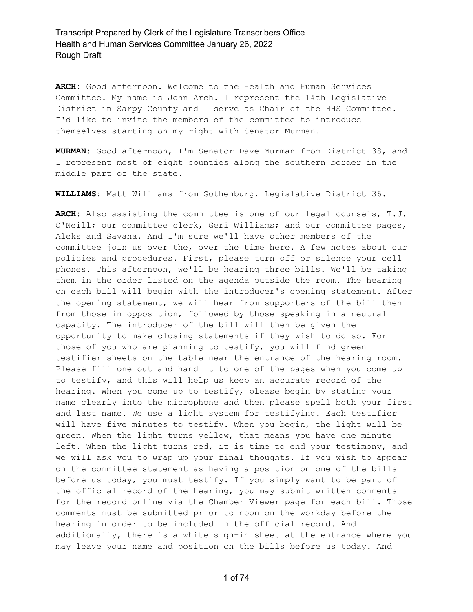**ARCH:** Good afternoon. Welcome to the Health and Human Services Committee. My name is John Arch. I represent the 14th Legislative District in Sarpy County and I serve as Chair of the HHS Committee. I'd like to invite the members of the committee to introduce themselves starting on my right with Senator Murman.

**MURMAN:** Good afternoon, I'm Senator Dave Murman from District 38, and I represent most of eight counties along the southern border in the middle part of the state.

**WILLIAMS:** Matt Williams from Gothenburg, Legislative District 36.

**ARCH:** Also assisting the committee is one of our legal counsels, T.J. O'Neill; our committee clerk, Geri Williams; and our committee pages, Aleks and Savana. And I'm sure we'll have other members of the committee join us over the, over the time here. A few notes about our policies and procedures. First, please turn off or silence your cell phones. This afternoon, we'll be hearing three bills. We'll be taking them in the order listed on the agenda outside the room. The hearing on each bill will begin with the introducer's opening statement. After the opening statement, we will hear from supporters of the bill then from those in opposition, followed by those speaking in a neutral capacity. The introducer of the bill will then be given the opportunity to make closing statements if they wish to do so. For those of you who are planning to testify, you will find green testifier sheets on the table near the entrance of the hearing room. Please fill one out and hand it to one of the pages when you come up to testify, and this will help us keep an accurate record of the hearing. When you come up to testify, please begin by stating your name clearly into the microphone and then please spell both your first and last name. We use a light system for testifying. Each testifier will have five minutes to testify. When you begin, the light will be green. When the light turns yellow, that means you have one minute left. When the light turns red, it is time to end your testimony, and we will ask you to wrap up your final thoughts. If you wish to appear on the committee statement as having a position on one of the bills before us today, you must testify. If you simply want to be part of the official record of the hearing, you may submit written comments for the record online via the Chamber Viewer page for each bill. Those comments must be submitted prior to noon on the workday before the hearing in order to be included in the official record. And additionally, there is a white sign-in sheet at the entrance where you may leave your name and position on the bills before us today. And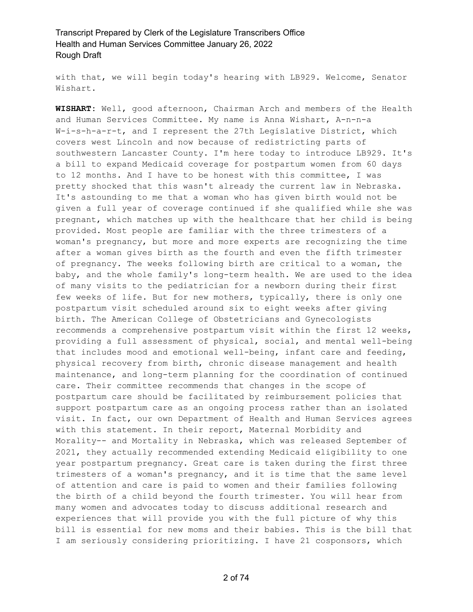with that, we will begin today's hearing with LB929. Welcome, Senator Wishart.

**WISHART:** Well, good afternoon, Chairman Arch and members of the Health and Human Services Committee. My name is Anna Wishart, A-n-n-a W-i-s-h-a-r-t, and I represent the 27th Legislative District, which covers west Lincoln and now because of redistricting parts of southwestern Lancaster County. I'm here today to introduce LB929. It's a bill to expand Medicaid coverage for postpartum women from 60 days to 12 months. And I have to be honest with this committee, I was pretty shocked that this wasn't already the current law in Nebraska. It's astounding to me that a woman who has given birth would not be given a full year of coverage continued if she qualified while she was pregnant, which matches up with the healthcare that her child is being provided. Most people are familiar with the three trimesters of a woman's pregnancy, but more and more experts are recognizing the time after a woman gives birth as the fourth and even the fifth trimester of pregnancy. The weeks following birth are critical to a woman, the baby, and the whole family's long-term health. We are used to the idea of many visits to the pediatrician for a newborn during their first few weeks of life. But for new mothers, typically, there is only one postpartum visit scheduled around six to eight weeks after giving birth. The American College of Obstetricians and Gynecologists recommends a comprehensive postpartum visit within the first 12 weeks, providing a full assessment of physical, social, and mental well-being that includes mood and emotional well-being, infant care and feeding, physical recovery from birth, chronic disease management and health maintenance, and long-term planning for the coordination of continued care. Their committee recommends that changes in the scope of postpartum care should be facilitated by reimbursement policies that support postpartum care as an ongoing process rather than an isolated visit. In fact, our own Department of Health and Human Services agrees with this statement. In their report, Maternal Morbidity and Morality-- and Mortality in Nebraska, which was released September of 2021, they actually recommended extending Medicaid eligibility to one year postpartum pregnancy. Great care is taken during the first three trimesters of a woman's pregnancy, and it is time that the same level of attention and care is paid to women and their families following the birth of a child beyond the fourth trimester. You will hear from many women and advocates today to discuss additional research and experiences that will provide you with the full picture of why this bill is essential for new moms and their babies. This is the bill that I am seriously considering prioritizing. I have 21 cosponsors, which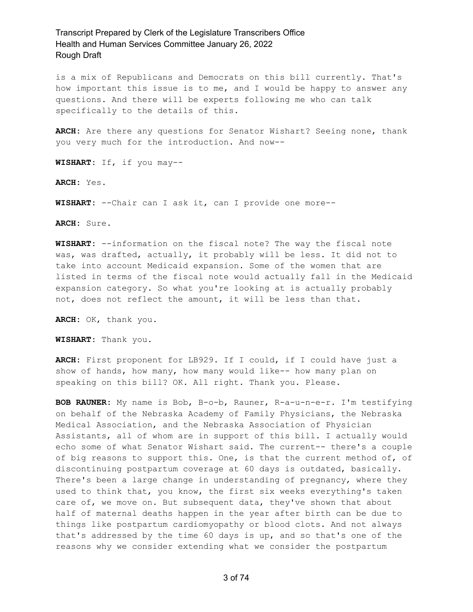is a mix of Republicans and Democrats on this bill currently. That's how important this issue is to me, and I would be happy to answer any questions. And there will be experts following me who can talk specifically to the details of this.

**ARCH:** Are there any questions for Senator Wishart? Seeing none, thank you very much for the introduction. And now--

**WISHART:** If, if you may--

**ARCH:** Yes.

**WISHART:** --Chair can I ask it, can I provide one more--

**ARCH:** Sure.

**WISHART:** --information on the fiscal note? The way the fiscal note was, was drafted, actually, it probably will be less. It did not to take into account Medicaid expansion. Some of the women that are listed in terms of the fiscal note would actually fall in the Medicaid expansion category. So what you're looking at is actually probably not, does not reflect the amount, it will be less than that.

**ARCH:** OK, thank you.

**WISHART:** Thank you.

**ARCH:** First proponent for LB929. If I could, if I could have just a show of hands, how many, how many would like-- how many plan on speaking on this bill? OK. All right. Thank you. Please.

**BOB RAUNER:** My name is Bob, B-o-b, Rauner, R-a-u-n-e-r. I'm testifying on behalf of the Nebraska Academy of Family Physicians, the Nebraska Medical Association, and the Nebraska Association of Physician Assistants, all of whom are in support of this bill. I actually would echo some of what Senator Wishart said. The current-- there's a couple of big reasons to support this. One, is that the current method of, of discontinuing postpartum coverage at 60 days is outdated, basically. There's been a large change in understanding of pregnancy, where they used to think that, you know, the first six weeks everything's taken care of, we move on. But subsequent data, they've shown that about half of maternal deaths happen in the year after birth can be due to things like postpartum cardiomyopathy or blood clots. And not always that's addressed by the time 60 days is up, and so that's one of the reasons why we consider extending what we consider the postpartum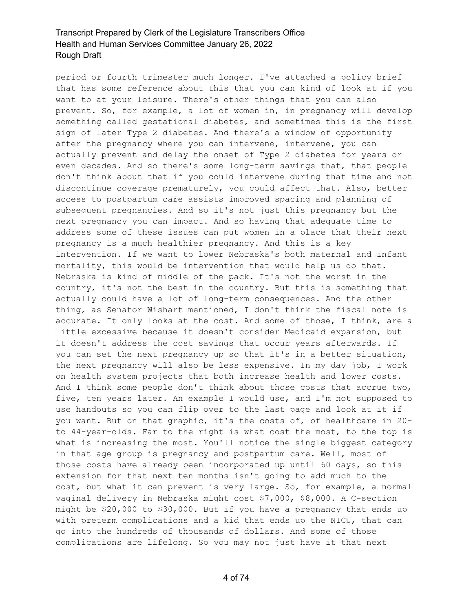period or fourth trimester much longer. I've attached a policy brief that has some reference about this that you can kind of look at if you want to at your leisure. There's other things that you can also prevent. So, for example, a lot of women in, in pregnancy will develop something called gestational diabetes, and sometimes this is the first sign of later Type 2 diabetes. And there's a window of opportunity after the pregnancy where you can intervene, intervene, you can actually prevent and delay the onset of Type 2 diabetes for years or even decades. And so there's some long-term savings that, that people don't think about that if you could intervene during that time and not discontinue coverage prematurely, you could affect that. Also, better access to postpartum care assists improved spacing and planning of subsequent pregnancies. And so it's not just this pregnancy but the next pregnancy you can impact. And so having that adequate time to address some of these issues can put women in a place that their next pregnancy is a much healthier pregnancy. And this is a key intervention. If we want to lower Nebraska's both maternal and infant mortality, this would be intervention that would help us do that. Nebraska is kind of middle of the pack. It's not the worst in the country, it's not the best in the country. But this is something that actually could have a lot of long-term consequences. And the other thing, as Senator Wishart mentioned, I don't think the fiscal note is accurate. It only looks at the cost. And some of those, I think, are a little excessive because it doesn't consider Medicaid expansion, but it doesn't address the cost savings that occur years afterwards. If you can set the next pregnancy up so that it's in a better situation, the next pregnancy will also be less expensive. In my day job, I work on health system projects that both increase health and lower costs. And I think some people don't think about those costs that accrue two, five, ten years later. An example I would use, and I'm not supposed to use handouts so you can flip over to the last page and look at it if you want. But on that graphic, it's the costs of, of healthcare in 20 to 44-year-olds. Far to the right is what cost the most, to the top is what is increasing the most. You'll notice the single biggest category in that age group is pregnancy and postpartum care. Well, most of those costs have already been incorporated up until 60 days, so this extension for that next ten months isn't going to add much to the cost, but what it can prevent is very large. So, for example, a normal vaginal delivery in Nebraska might cost \$7,000, \$8,000. A C-section might be \$20,000 to \$30,000. But if you have a pregnancy that ends up with preterm complications and a kid that ends up the NICU, that can go into the hundreds of thousands of dollars. And some of those complications are lifelong. So you may not just have it that next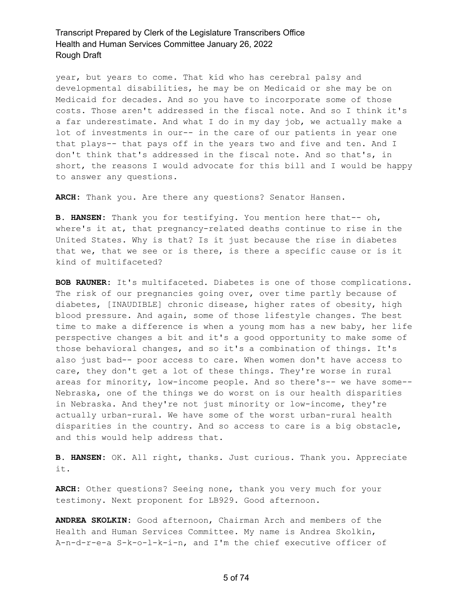year, but years to come. That kid who has cerebral palsy and developmental disabilities, he may be on Medicaid or she may be on Medicaid for decades. And so you have to incorporate some of those costs. Those aren't addressed in the fiscal note. And so I think it's a far underestimate. And what I do in my day job, we actually make a lot of investments in our-- in the care of our patients in year one that plays-- that pays off in the years two and five and ten. And I don't think that's addressed in the fiscal note. And so that's, in short, the reasons I would advocate for this bill and I would be happy to answer any questions.

**ARCH:** Thank you. Are there any questions? Senator Hansen.

**B. HANSEN:** Thank you for testifying. You mention here that-- oh, where's it at, that pregnancy-related deaths continue to rise in the United States. Why is that? Is it just because the rise in diabetes that we, that we see or is there, is there a specific cause or is it kind of multifaceted?

**BOB RAUNER:** It's multifaceted. Diabetes is one of those complications. The risk of our pregnancies going over, over time partly because of diabetes, [INAUDIBLE] chronic disease, higher rates of obesity, high blood pressure. And again, some of those lifestyle changes. The best time to make a difference is when a young mom has a new baby, her life perspective changes a bit and it's a good opportunity to make some of those behavioral changes, and so it's a combination of things. It's also just bad-- poor access to care. When women don't have access to care, they don't get a lot of these things. They're worse in rural areas for minority, low-income people. And so there's-- we have some-- Nebraska, one of the things we do worst on is our health disparities in Nebraska. And they're not just minority or low-income, they're actually urban-rural. We have some of the worst urban-rural health disparities in the country. And so access to care is a big obstacle, and this would help address that.

**B. HANSEN:** OK. All right, thanks. Just curious. Thank you. Appreciate it.

**ARCH:** Other questions? Seeing none, thank you very much for your testimony. Next proponent for LB929. Good afternoon.

**ANDREA SKOLKIN:** Good afternoon, Chairman Arch and members of the Health and Human Services Committee. My name is Andrea Skolkin, A-n-d-r-e-a S-k-o-l-k-i-n, and I'm the chief executive officer of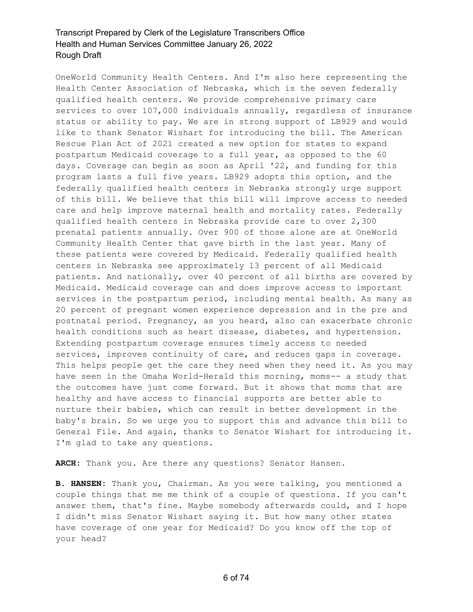OneWorld Community Health Centers. And I'm also here representing the Health Center Association of Nebraska, which is the seven federally qualified health centers. We provide comprehensive primary care services to over 107,000 individuals annually, regardless of insurance status or ability to pay. We are in strong support of LB929 and would like to thank Senator Wishart for introducing the bill. The American Rescue Plan Act of 2021 created a new option for states to expand postpartum Medicaid coverage to a full year, as opposed to the 60 days. Coverage can begin as soon as April '22, and funding for this program lasts a full five years. LB929 adopts this option, and the federally qualified health centers in Nebraska strongly urge support of this bill. We believe that this bill will improve access to needed care and help improve maternal health and mortality rates. Federally qualified health centers in Nebraska provide care to over 2,300 prenatal patients annually. Over 900 of those alone are at OneWorld Community Health Center that gave birth in the last year. Many of these patients were covered by Medicaid. Federally qualified health centers in Nebraska see approximately 13 percent of all Medicaid patients. And nationally, over 40 percent of all births are covered by Medicaid. Medicaid coverage can and does improve access to important services in the postpartum period, including mental health. As many as 20 percent of pregnant women experience depression and in the pre and postnatal period. Pregnancy, as you heard, also can exacerbate chronic health conditions such as heart disease, diabetes, and hypertension. Extending postpartum coverage ensures timely access to needed services, improves continuity of care, and reduces gaps in coverage. This helps people get the care they need when they need it. As you may have seen in the Omaha World-Herald this morning, moms-- a study that the outcomes have just come forward. But it shows that moms that are healthy and have access to financial supports are better able to nurture their babies, which can result in better development in the baby's brain. So we urge you to support this and advance this bill to General File. And again, thanks to Senator Wishart for introducing it. I'm glad to take any questions.

**ARCH:** Thank you. Are there any questions? Senator Hansen.

**B. HANSEN:** Thank you, Chairman. As you were talking, you mentioned a couple things that me me think of a couple of questions. If you can't answer them, that's fine. Maybe somebody afterwards could, and I hope I didn't miss Senator Wishart saying it. But how many other states have coverage of one year for Medicaid? Do you know off the top of your head?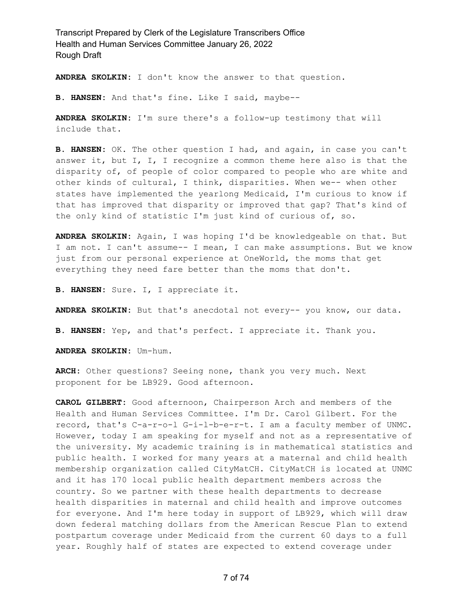**ANDREA SKOLKIN:** I don't know the answer to that question.

**B. HANSEN:** And that's fine. Like I said, maybe--

**ANDREA SKOLKIN:** I'm sure there's a follow-up testimony that will include that.

**B. HANSEN:** OK. The other question I had, and again, in case you can't answer it, but I, I, I recognize a common theme here also is that the disparity of, of people of color compared to people who are white and other kinds of cultural, I think, disparities. When we-- when other states have implemented the yearlong Medicaid, I'm curious to know if that has improved that disparity or improved that gap? That's kind of the only kind of statistic I'm just kind of curious of, so.

**ANDREA SKOLKIN:** Again, I was hoping I'd be knowledgeable on that. But I am not. I can't assume-- I mean, I can make assumptions. But we know just from our personal experience at OneWorld, the moms that get everything they need fare better than the moms that don't.

**B. HANSEN:** Sure. I, I appreciate it.

**ANDREA SKOLKIN:** But that's anecdotal not every-- you know, our data.

**B. HANSEN:** Yep, and that's perfect. I appreciate it. Thank you.

**ANDREA SKOLKIN:** Um-hum.

**ARCH:** Other questions? Seeing none, thank you very much. Next proponent for be LB929. Good afternoon.

**CAROL GILBERT:** Good afternoon, Chairperson Arch and members of the Health and Human Services Committee. I'm Dr. Carol Gilbert. For the record, that's C-a-r-o-l G-i-l-b-e-r-t. I am a faculty member of UNMC. However, today I am speaking for myself and not as a representative of the university. My academic training is in mathematical statistics and public health. I worked for many years at a maternal and child health membership organization called CityMatCH. CityMatCH is located at UNMC and it has 170 local public health department members across the country. So we partner with these health departments to decrease health disparities in maternal and child health and improve outcomes for everyone. And I'm here today in support of LB929, which will draw down federal matching dollars from the American Rescue Plan to extend postpartum coverage under Medicaid from the current 60 days to a full year. Roughly half of states are expected to extend coverage under

7 of 74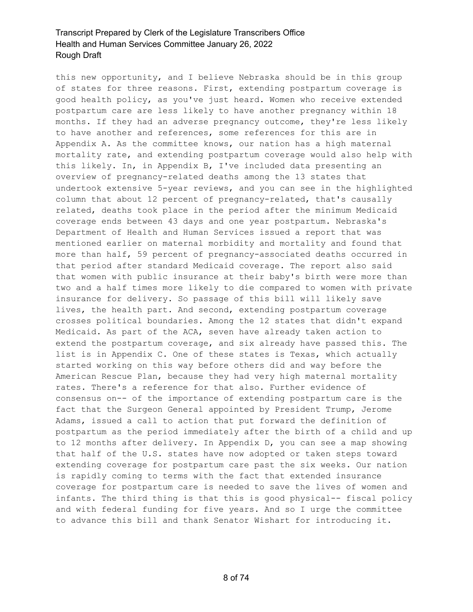this new opportunity, and I believe Nebraska should be in this group of states for three reasons. First, extending postpartum coverage is good health policy, as you've just heard. Women who receive extended postpartum care are less likely to have another pregnancy within 18 months. If they had an adverse pregnancy outcome, they're less likely to have another and references, some references for this are in Appendix A. As the committee knows, our nation has a high maternal mortality rate, and extending postpartum coverage would also help with this likely. In, in Appendix B, I've included data presenting an overview of pregnancy-related deaths among the 13 states that undertook extensive 5-year reviews, and you can see in the highlighted column that about 12 percent of pregnancy-related, that's causally related, deaths took place in the period after the minimum Medicaid coverage ends between 43 days and one year postpartum. Nebraska's Department of Health and Human Services issued a report that was mentioned earlier on maternal morbidity and mortality and found that more than half, 59 percent of pregnancy-associated deaths occurred in that period after standard Medicaid coverage. The report also said that women with public insurance at their baby's birth were more than two and a half times more likely to die compared to women with private insurance for delivery. So passage of this bill will likely save lives, the health part. And second, extending postpartum coverage crosses political boundaries. Among the 12 states that didn't expand Medicaid. As part of the ACA, seven have already taken action to extend the postpartum coverage, and six already have passed this. The list is in Appendix C. One of these states is Texas, which actually started working on this way before others did and way before the American Rescue Plan, because they had very high maternal mortality rates. There's a reference for that also. Further evidence of consensus on-- of the importance of extending postpartum care is the fact that the Surgeon General appointed by President Trump, Jerome Adams, issued a call to action that put forward the definition of postpartum as the period immediately after the birth of a child and up to 12 months after delivery. In Appendix D, you can see a map showing that half of the U.S. states have now adopted or taken steps toward extending coverage for postpartum care past the six weeks. Our nation is rapidly coming to terms with the fact that extended insurance coverage for postpartum care is needed to save the lives of women and infants. The third thing is that this is good physical-- fiscal policy and with federal funding for five years. And so I urge the committee to advance this bill and thank Senator Wishart for introducing it.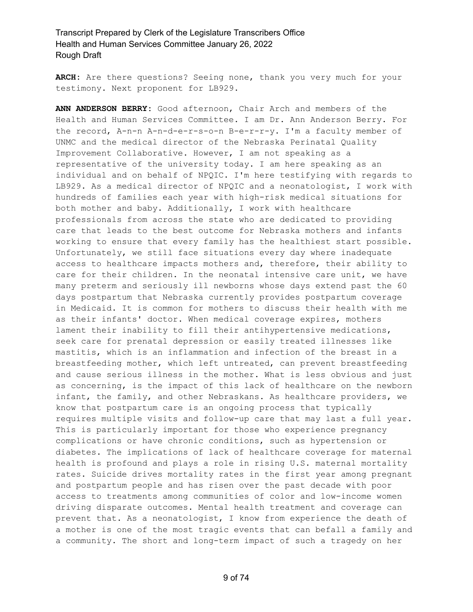**ARCH:** Are there questions? Seeing none, thank you very much for your testimony. Next proponent for LB929.

**ANN ANDERSON BERRY:** Good afternoon, Chair Arch and members of the Health and Human Services Committee. I am Dr. Ann Anderson Berry. For the record, A-n-n A-n-d-e-r-s-o-n B-e-r-r-y. I'm a faculty member of UNMC and the medical director of the Nebraska Perinatal Quality Improvement Collaborative. However, I am not speaking as a representative of the university today. I am here speaking as an individual and on behalf of NPQIC. I'm here testifying with regards to LB929. As a medical director of NPQIC and a neonatologist, I work with hundreds of families each year with high-risk medical situations for both mother and baby. Additionally, I work with healthcare professionals from across the state who are dedicated to providing care that leads to the best outcome for Nebraska mothers and infants working to ensure that every family has the healthiest start possible. Unfortunately, we still face situations every day where inadequate access to healthcare impacts mothers and, therefore, their ability to care for their children. In the neonatal intensive care unit, we have many preterm and seriously ill newborns whose days extend past the 60 days postpartum that Nebraska currently provides postpartum coverage in Medicaid. It is common for mothers to discuss their health with me as their infants' doctor. When medical coverage expires, mothers lament their inability to fill their antihypertensive medications, seek care for prenatal depression or easily treated illnesses like mastitis, which is an inflammation and infection of the breast in a breastfeeding mother, which left untreated, can prevent breastfeeding and cause serious illness in the mother. What is less obvious and just as concerning, is the impact of this lack of healthcare on the newborn infant, the family, and other Nebraskans. As healthcare providers, we know that postpartum care is an ongoing process that typically requires multiple visits and follow-up care that may last a full year. This is particularly important for those who experience pregnancy complications or have chronic conditions, such as hypertension or diabetes. The implications of lack of healthcare coverage for maternal health is profound and plays a role in rising U.S. maternal mortality rates. Suicide drives mortality rates in the first year among pregnant and postpartum people and has risen over the past decade with poor access to treatments among communities of color and low-income women driving disparate outcomes. Mental health treatment and coverage can prevent that. As a neonatologist, I know from experience the death of a mother is one of the most tragic events that can befall a family and a community. The short and long-term impact of such a tragedy on her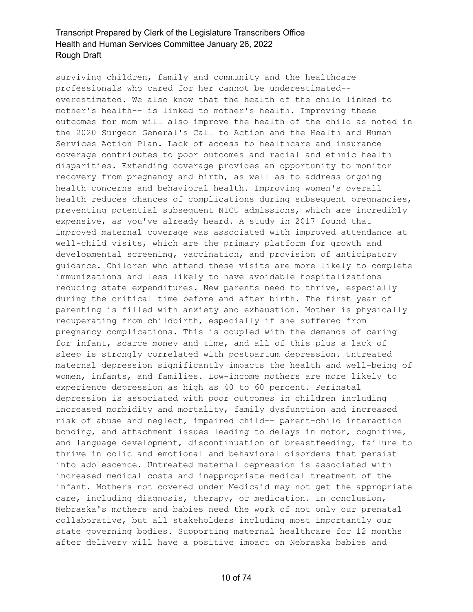surviving children, family and community and the healthcare professionals who cared for her cannot be underestimated- overestimated. We also know that the health of the child linked to mother's health-- is linked to mother's health. Improving these outcomes for mom will also improve the health of the child as noted in the 2020 Surgeon General's Call to Action and the Health and Human Services Action Plan. Lack of access to healthcare and insurance coverage contributes to poor outcomes and racial and ethnic health disparities. Extending coverage provides an opportunity to monitor recovery from pregnancy and birth, as well as to address ongoing health concerns and behavioral health. Improving women's overall health reduces chances of complications during subsequent pregnancies, preventing potential subsequent NICU admissions, which are incredibly expensive, as you've already heard. A study in 2017 found that improved maternal coverage was associated with improved attendance at well-child visits, which are the primary platform for growth and developmental screening, vaccination, and provision of anticipatory guidance. Children who attend these visits are more likely to complete immunizations and less likely to have avoidable hospitalizations reducing state expenditures. New parents need to thrive, especially during the critical time before and after birth. The first year of parenting is filled with anxiety and exhaustion. Mother is physically recuperating from childbirth, especially if she suffered from pregnancy complications. This is coupled with the demands of caring for infant, scarce money and time, and all of this plus a lack of sleep is strongly correlated with postpartum depression. Untreated maternal depression significantly impacts the health and well-being of women, infants, and families. Low-income mothers are more likely to experience depression as high as 40 to 60 percent. Perinatal depression is associated with poor outcomes in children including increased morbidity and mortality, family dysfunction and increased risk of abuse and neglect, impaired child-- parent-child interaction bonding, and attachment issues leading to delays in motor, cognitive, and language development, discontinuation of breastfeeding, failure to thrive in colic and emotional and behavioral disorders that persist into adolescence. Untreated maternal depression is associated with increased medical costs and inappropriate medical treatment of the infant. Mothers not covered under Medicaid may not get the appropriate care, including diagnosis, therapy, or medication. In conclusion, Nebraska's mothers and babies need the work of not only our prenatal collaborative, but all stakeholders including most importantly our state governing bodies. Supporting maternal healthcare for 12 months after delivery will have a positive impact on Nebraska babies and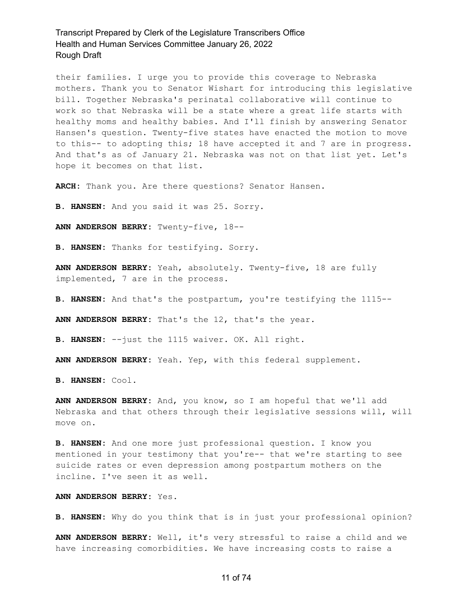their families. I urge you to provide this coverage to Nebraska mothers. Thank you to Senator Wishart for introducing this legislative bill. Together Nebraska's perinatal collaborative will continue to work so that Nebraska will be a state where a great life starts with healthy moms and healthy babies. And I'll finish by answering Senator Hansen's question. Twenty-five states have enacted the motion to move to this-- to adopting this; 18 have accepted it and 7 are in progress. And that's as of January 21. Nebraska was not on that list yet. Let's hope it becomes on that list.

**ARCH:** Thank you. Are there questions? Senator Hansen.

**B. HANSEN:** And you said it was 25. Sorry.

**ANN ANDERSON BERRY:** Twenty-five, 18--

**B. HANSEN:** Thanks for testifying. Sorry.

**ANN ANDERSON BERRY:** Yeah, absolutely. Twenty-five, 18 are fully implemented, 7 are in the process.

**B. HANSEN:** And that's the postpartum, you're testifying the 1115--

**ANN ANDERSON BERRY:** That's the 12, that's the year.

**B. HANSEN:** --just the 1115 waiver. OK. All right.

**ANN ANDERSON BERRY:** Yeah. Yep, with this federal supplement.

**B. HANSEN:** Cool.

**ANN ANDERSON BERRY:** And, you know, so I am hopeful that we'll add Nebraska and that others through their legislative sessions will, will move on.

**B. HANSEN:** And one more just professional question. I know you mentioned in your testimony that you're-- that we're starting to see suicide rates or even depression among postpartum mothers on the incline. I've seen it as well.

### **ANN ANDERSON BERRY:** Yes.

**B. HANSEN:** Why do you think that is in just your professional opinion?

**ANN ANDERSON BERRY:** Well, it's very stressful to raise a child and we have increasing comorbidities. We have increasing costs to raise a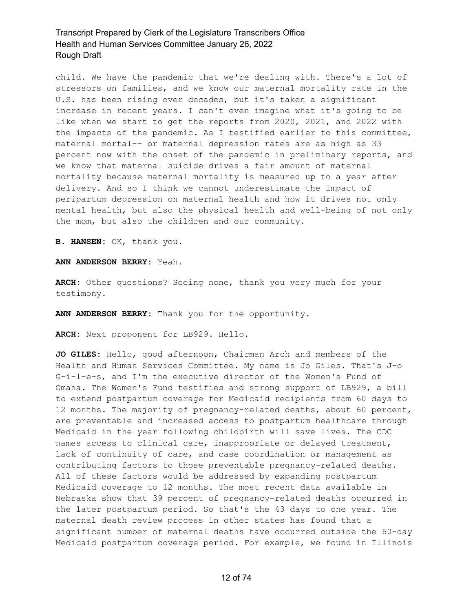child. We have the pandemic that we're dealing with. There's a lot of stressors on families, and we know our maternal mortality rate in the U.S. has been rising over decades, but it's taken a significant increase in recent years. I can't even imagine what it's going to be like when we start to get the reports from 2020, 2021, and 2022 with the impacts of the pandemic. As I testified earlier to this committee, maternal mortal-- or maternal depression rates are as high as 33 percent now with the onset of the pandemic in preliminary reports, and we know that maternal suicide drives a fair amount of maternal mortality because maternal mortality is measured up to a year after delivery. And so I think we cannot underestimate the impact of peripartum depression on maternal health and how it drives not only mental health, but also the physical health and well-being of not only the mom, but also the children and our community.

**B. HANSEN:** OK, thank you.

**ANN ANDERSON BERRY:** Yeah.

**ARCH:** Other questions? Seeing none, thank you very much for your testimony.

**ANN ANDERSON BERRY:** Thank you for the opportunity.

**ARCH:** Next proponent for LB929. Hello.

**JO GILES:** Hello, good afternoon, Chairman Arch and members of the Health and Human Services Committee. My name is Jo Giles. That's J-o G-i-l-e-s, and I'm the executive director of the Women's Fund of Omaha. The Women's Fund testifies and strong support of LB929, a bill to extend postpartum coverage for Medicaid recipients from 60 days to 12 months. The majority of pregnancy-related deaths, about 60 percent, are preventable and increased access to postpartum healthcare through Medicaid in the year following childbirth will save lives. The CDC names access to clinical care, inappropriate or delayed treatment, lack of continuity of care, and case coordination or management as contributing factors to those preventable pregnancy-related deaths. All of these factors would be addressed by expanding postpartum Medicaid coverage to 12 months. The most recent data available in Nebraska show that 39 percent of pregnancy-related deaths occurred in the later postpartum period. So that's the 43 days to one year. The maternal death review process in other states has found that a significant number of maternal deaths have occurred outside the 60-day Medicaid postpartum coverage period. For example, we found in Illinois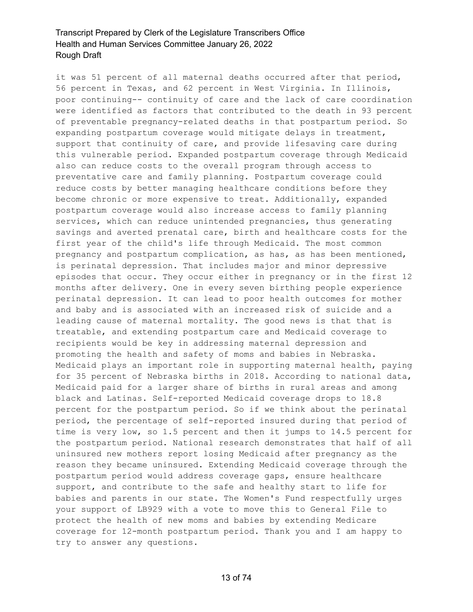it was 51 percent of all maternal deaths occurred after that period, 56 percent in Texas, and 62 percent in West Virginia. In Illinois, poor continuing-- continuity of care and the lack of care coordination were identified as factors that contributed to the death in 93 percent of preventable pregnancy-related deaths in that postpartum period. So expanding postpartum coverage would mitigate delays in treatment, support that continuity of care, and provide lifesaving care during this vulnerable period. Expanded postpartum coverage through Medicaid also can reduce costs to the overall program through access to preventative care and family planning. Postpartum coverage could reduce costs by better managing healthcare conditions before they become chronic or more expensive to treat. Additionally, expanded postpartum coverage would also increase access to family planning services, which can reduce unintended pregnancies, thus generating savings and averted prenatal care, birth and healthcare costs for the first year of the child's life through Medicaid. The most common pregnancy and postpartum complication, as has, as has been mentioned, is perinatal depression. That includes major and minor depressive episodes that occur. They occur either in pregnancy or in the first 12 months after delivery. One in every seven birthing people experience perinatal depression. It can lead to poor health outcomes for mother and baby and is associated with an increased risk of suicide and a leading cause of maternal mortality. The good news is that that is treatable, and extending postpartum care and Medicaid coverage to recipients would be key in addressing maternal depression and promoting the health and safety of moms and babies in Nebraska. Medicaid plays an important role in supporting maternal health, paying for 35 percent of Nebraska births in 2018. According to national data, Medicaid paid for a larger share of births in rural areas and among black and Latinas. Self-reported Medicaid coverage drops to 18.8 percent for the postpartum period. So if we think about the perinatal period, the percentage of self-reported insured during that period of time is very low, so 1.5 percent and then it jumps to 14.5 percent for the postpartum period. National research demonstrates that half of all uninsured new mothers report losing Medicaid after pregnancy as the reason they became uninsured. Extending Medicaid coverage through the postpartum period would address coverage gaps, ensure healthcare support, and contribute to the safe and healthy start to life for babies and parents in our state. The Women's Fund respectfully urges your support of LB929 with a vote to move this to General File to protect the health of new moms and babies by extending Medicare coverage for 12-month postpartum period. Thank you and I am happy to try to answer any questions.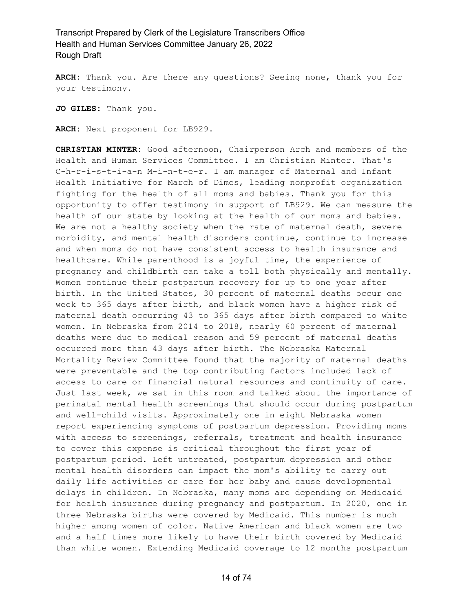**ARCH:** Thank you. Are there any questions? Seeing none, thank you for your testimony.

**JO GILES:** Thank you.

**ARCH:** Next proponent for LB929.

**CHRISTIAN MINTER:** Good afternoon, Chairperson Arch and members of the Health and Human Services Committee. I am Christian Minter. That's C-h-r-i-s-t-i-a-n M-i-n-t-e-r. I am manager of Maternal and Infant Health Initiative for March of Dimes, leading nonprofit organization fighting for the health of all moms and babies. Thank you for this opportunity to offer testimony in support of LB929. We can measure the health of our state by looking at the health of our moms and babies. We are not a healthy society when the rate of maternal death, severe morbidity, and mental health disorders continue, continue to increase and when moms do not have consistent access to health insurance and healthcare. While parenthood is a joyful time, the experience of pregnancy and childbirth can take a toll both physically and mentally. Women continue their postpartum recovery for up to one year after birth. In the United States, 30 percent of maternal deaths occur one week to 365 days after birth, and black women have a higher risk of maternal death occurring 43 to 365 days after birth compared to white women. In Nebraska from 2014 to 2018, nearly 60 percent of maternal deaths were due to medical reason and 59 percent of maternal deaths occurred more than 43 days after birth. The Nebraska Maternal Mortality Review Committee found that the majority of maternal deaths were preventable and the top contributing factors included lack of access to care or financial natural resources and continuity of care. Just last week, we sat in this room and talked about the importance of perinatal mental health screenings that should occur during postpartum and well-child visits. Approximately one in eight Nebraska women report experiencing symptoms of postpartum depression. Providing moms with access to screenings, referrals, treatment and health insurance to cover this expense is critical throughout the first year of postpartum period. Left untreated, postpartum depression and other mental health disorders can impact the mom's ability to carry out daily life activities or care for her baby and cause developmental delays in children. In Nebraska, many moms are depending on Medicaid for health insurance during pregnancy and postpartum. In 2020, one in three Nebraska births were covered by Medicaid. This number is much higher among women of color. Native American and black women are two and a half times more likely to have their birth covered by Medicaid than white women. Extending Medicaid coverage to 12 months postpartum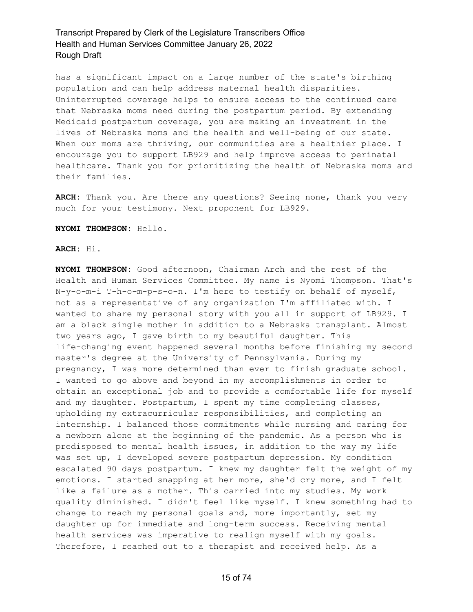has a significant impact on a large number of the state's birthing population and can help address maternal health disparities. Uninterrupted coverage helps to ensure access to the continued care that Nebraska moms need during the postpartum period. By extending Medicaid postpartum coverage, you are making an investment in the lives of Nebraska moms and the health and well-being of our state. When our moms are thriving, our communities are a healthier place. I encourage you to support LB929 and help improve access to perinatal healthcare. Thank you for prioritizing the health of Nebraska moms and their families.

**ARCH:** Thank you. Are there any questions? Seeing none, thank you very much for your testimony. Next proponent for LB929.

### **NYOMI THOMPSON:** Hello.

**ARCH:** Hi.

**NYOMI THOMPSON:** Good afternoon, Chairman Arch and the rest of the Health and Human Services Committee. My name is Nyomi Thompson. That's N-y-o-m-i T-h-o-m-p-s-o-n. I'm here to testify on behalf of myself, not as a representative of any organization I'm affiliated with. I wanted to share my personal story with you all in support of LB929. I am a black single mother in addition to a Nebraska transplant. Almost two years ago, I gave birth to my beautiful daughter. This life-changing event happened several months before finishing my second master's degree at the University of Pennsylvania. During my pregnancy, I was more determined than ever to finish graduate school. I wanted to go above and beyond in my accomplishments in order to obtain an exceptional job and to provide a comfortable life for myself and my daughter. Postpartum, I spent my time completing classes, upholding my extracurricular responsibilities, and completing an internship. I balanced those commitments while nursing and caring for a newborn alone at the beginning of the pandemic. As a person who is predisposed to mental health issues, in addition to the way my life was set up, I developed severe postpartum depression. My condition escalated 90 days postpartum. I knew my daughter felt the weight of my emotions. I started snapping at her more, she'd cry more, and I felt like a failure as a mother. This carried into my studies. My work quality diminished. I didn't feel like myself. I knew something had to change to reach my personal goals and, more importantly, set my daughter up for immediate and long-term success. Receiving mental health services was imperative to realign myself with my goals. Therefore, I reached out to a therapist and received help. As a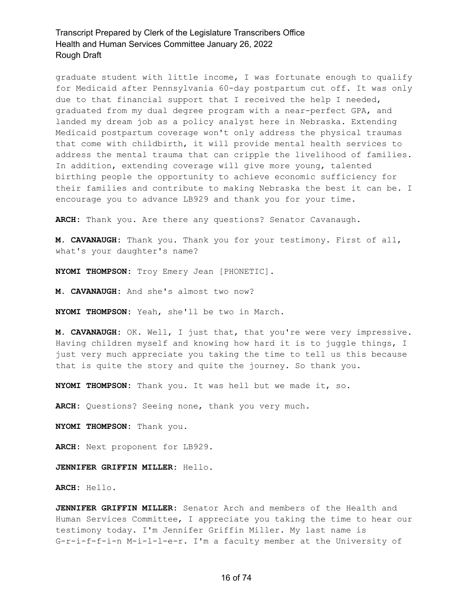graduate student with little income, I was fortunate enough to qualify for Medicaid after Pennsylvania 60-day postpartum cut off. It was only due to that financial support that I received the help I needed, graduated from my dual degree program with a near-perfect GPA, and landed my dream job as a policy analyst here in Nebraska. Extending Medicaid postpartum coverage won't only address the physical traumas that come with childbirth, it will provide mental health services to address the mental trauma that can cripple the livelihood of families. In addition, extending coverage will give more young, talented birthing people the opportunity to achieve economic sufficiency for their families and contribute to making Nebraska the best it can be. I encourage you to advance LB929 and thank you for your time.

**ARCH:** Thank you. Are there any questions? Senator Cavanaugh.

**M. CAVANAUGH:** Thank you. Thank you for your testimony. First of all, what's your daughter's name?

**NYOMI THOMPSON:** Troy Emery Jean [PHONETIC].

**M. CAVANAUGH:** And she's almost two now?

**NYOMI THOMPSON:** Yeah, she'll be two in March.

**M. CAVANAUGH:** OK. Well, I just that, that you're were very impressive. Having children myself and knowing how hard it is to juggle things, I just very much appreciate you taking the time to tell us this because that is quite the story and quite the journey. So thank you.

**NYOMI THOMPSON:** Thank you. It was hell but we made it, so.

**ARCH:** Questions? Seeing none, thank you very much.

**NYOMI THOMPSON:** Thank you.

**ARCH:** Next proponent for LB929.

**JENNIFER GRIFFIN MILLER:** Hello.

**ARCH:** Hello.

**JENNIFER GRIFFIN MILLER:** Senator Arch and members of the Health and Human Services Committee, I appreciate you taking the time to hear our testimony today. I'm Jennifer Griffin Miller. My last name is G-r-i-f-f-i-n M-i-l-l-e-r. I'm a faculty member at the University of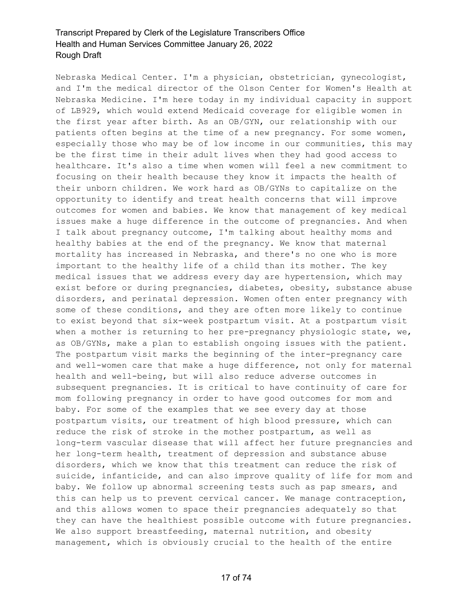Nebraska Medical Center. I'm a physician, obstetrician, gynecologist, and I'm the medical director of the Olson Center for Women's Health at Nebraska Medicine. I'm here today in my individual capacity in support of LB929, which would extend Medicaid coverage for eligible women in the first year after birth. As an OB/GYN, our relationship with our patients often begins at the time of a new pregnancy. For some women, especially those who may be of low income in our communities, this may be the first time in their adult lives when they had good access to healthcare. It's also a time when women will feel a new commitment to focusing on their health because they know it impacts the health of their unborn children. We work hard as OB/GYNs to capitalize on the opportunity to identify and treat health concerns that will improve outcomes for women and babies. We know that management of key medical issues make a huge difference in the outcome of pregnancies. And when I talk about pregnancy outcome, I'm talking about healthy moms and healthy babies at the end of the pregnancy. We know that maternal mortality has increased in Nebraska, and there's no one who is more important to the healthy life of a child than its mother. The key medical issues that we address every day are hypertension, which may exist before or during pregnancies, diabetes, obesity, substance abuse disorders, and perinatal depression. Women often enter pregnancy with some of these conditions, and they are often more likely to continue to exist beyond that six-week postpartum visit. At a postpartum visit when a mother is returning to her pre-pregnancy physiologic state, we, as OB/GYNs, make a plan to establish ongoing issues with the patient. The postpartum visit marks the beginning of the inter-pregnancy care and well-women care that make a huge difference, not only for maternal health and well-being, but will also reduce adverse outcomes in subsequent pregnancies. It is critical to have continuity of care for mom following pregnancy in order to have good outcomes for mom and baby. For some of the examples that we see every day at those postpartum visits, our treatment of high blood pressure, which can reduce the risk of stroke in the mother postpartum, as well as long-term vascular disease that will affect her future pregnancies and her long-term health, treatment of depression and substance abuse disorders, which we know that this treatment can reduce the risk of suicide, infanticide, and can also improve quality of life for mom and baby. We follow up abnormal screening tests such as pap smears, and this can help us to prevent cervical cancer. We manage contraception, and this allows women to space their pregnancies adequately so that they can have the healthiest possible outcome with future pregnancies. We also support breastfeeding, maternal nutrition, and obesity management, which is obviously crucial to the health of the entire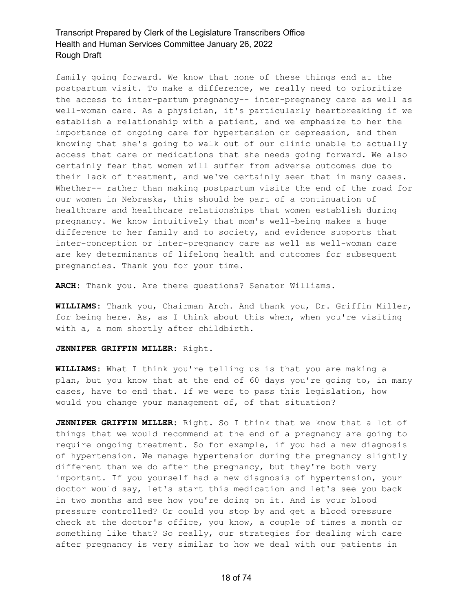family going forward. We know that none of these things end at the postpartum visit. To make a difference, we really need to prioritize the access to inter-partum pregnancy-- inter-pregnancy care as well as well-woman care. As a physician, it's particularly heartbreaking if we establish a relationship with a patient, and we emphasize to her the importance of ongoing care for hypertension or depression, and then knowing that she's going to walk out of our clinic unable to actually access that care or medications that she needs going forward. We also certainly fear that women will suffer from adverse outcomes due to their lack of treatment, and we've certainly seen that in many cases. Whether-- rather than making postpartum visits the end of the road for our women in Nebraska, this should be part of a continuation of healthcare and healthcare relationships that women establish during pregnancy. We know intuitively that mom's well-being makes a huge difference to her family and to society, and evidence supports that inter-conception or inter-pregnancy care as well as well-woman care are key determinants of lifelong health and outcomes for subsequent pregnancies. Thank you for your time.

**ARCH:** Thank you. Are there questions? Senator Williams.

**WILLIAMS:** Thank you, Chairman Arch. And thank you, Dr. Griffin Miller, for being here. As, as I think about this when, when you're visiting with a, a mom shortly after childbirth.

### **JENNIFER GRIFFIN MILLER:** Right.

**WILLIAMS:** What I think you're telling us is that you are making a plan, but you know that at the end of 60 days you're going to, in many cases, have to end that. If we were to pass this legislation, how would you change your management of, of that situation?

**JENNIFER GRIFFIN MILLER:** Right. So I think that we know that a lot of things that we would recommend at the end of a pregnancy are going to require ongoing treatment. So for example, if you had a new diagnosis of hypertension. We manage hypertension during the pregnancy slightly different than we do after the pregnancy, but they're both very important. If you yourself had a new diagnosis of hypertension, your doctor would say, let's start this medication and let's see you back in two months and see how you're doing on it. And is your blood pressure controlled? Or could you stop by and get a blood pressure check at the doctor's office, you know, a couple of times a month or something like that? So really, our strategies for dealing with care after pregnancy is very similar to how we deal with our patients in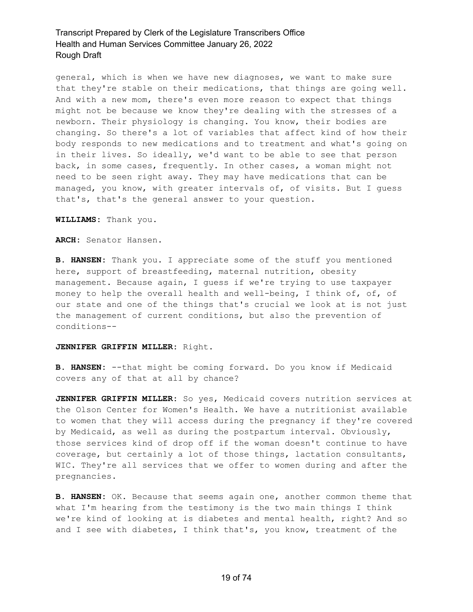general, which is when we have new diagnoses, we want to make sure that they're stable on their medications, that things are going well. And with a new mom, there's even more reason to expect that things might not be because we know they're dealing with the stresses of a newborn. Their physiology is changing. You know, their bodies are changing. So there's a lot of variables that affect kind of how their body responds to new medications and to treatment and what's going on in their lives. So ideally, we'd want to be able to see that person back, in some cases, frequently. In other cases, a woman might not need to be seen right away. They may have medications that can be managed, you know, with greater intervals of, of visits. But I guess that's, that's the general answer to your question.

**WILLIAMS:** Thank you.

**ARCH:** Senator Hansen.

**B. HANSEN:** Thank you. I appreciate some of the stuff you mentioned here, support of breastfeeding, maternal nutrition, obesity management. Because again, I guess if we're trying to use taxpayer money to help the overall health and well-being, I think of, of, of our state and one of the things that's crucial we look at is not just the management of current conditions, but also the prevention of conditions--

#### **JENNIFER GRIFFIN MILLER:** Right.

**B. HANSEN:** --that might be coming forward. Do you know if Medicaid covers any of that at all by chance?

**JENNIFER GRIFFIN MILLER:** So yes, Medicaid covers nutrition services at the Olson Center for Women's Health. We have a nutritionist available to women that they will access during the pregnancy if they're covered by Medicaid, as well as during the postpartum interval. Obviously, those services kind of drop off if the woman doesn't continue to have coverage, but certainly a lot of those things, lactation consultants, WIC. They're all services that we offer to women during and after the pregnancies.

**B. HANSEN:** OK. Because that seems again one, another common theme that what I'm hearing from the testimony is the two main things I think we're kind of looking at is diabetes and mental health, right? And so and I see with diabetes, I think that's, you know, treatment of the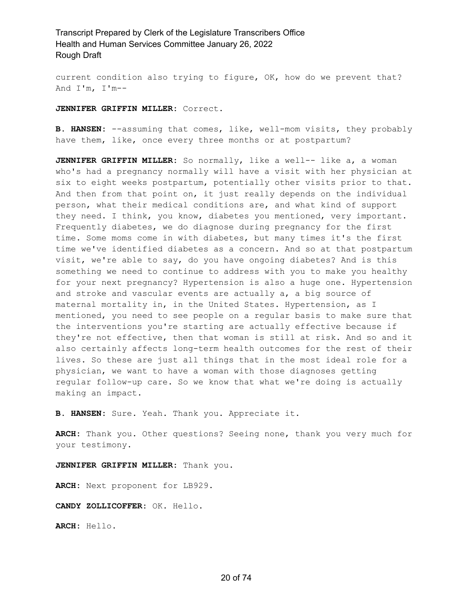current condition also trying to figure, OK, how do we prevent that? And I'm, I'm--

**JENNIFER GRIFFIN MILLER:** Correct.

**B. HANSEN:** --assuming that comes, like, well-mom visits, they probably have them, like, once every three months or at postpartum?

**JENNIFER GRIFFIN MILLER:** So normally, like a well-- like a, a woman who's had a pregnancy normally will have a visit with her physician at six to eight weeks postpartum, potentially other visits prior to that. And then from that point on, it just really depends on the individual person, what their medical conditions are, and what kind of support they need. I think, you know, diabetes you mentioned, very important. Frequently diabetes, we do diagnose during pregnancy for the first time. Some moms come in with diabetes, but many times it's the first time we've identified diabetes as a concern. And so at that postpartum visit, we're able to say, do you have ongoing diabetes? And is this something we need to continue to address with you to make you healthy for your next pregnancy? Hypertension is also a huge one. Hypertension and stroke and vascular events are actually a, a big source of maternal mortality in, in the United States. Hypertension, as I mentioned, you need to see people on a regular basis to make sure that the interventions you're starting are actually effective because if they're not effective, then that woman is still at risk. And so and it also certainly affects long-term health outcomes for the rest of their lives. So these are just all things that in the most ideal role for a physician, we want to have a woman with those diagnoses getting regular follow-up care. So we know that what we're doing is actually making an impact.

**B. HANSEN:** Sure. Yeah. Thank you. Appreciate it.

**ARCH:** Thank you. Other questions? Seeing none, thank you very much for your testimony.

**JENNIFER GRIFFIN MILLER:** Thank you.

**ARCH:** Next proponent for LB929.

**CANDY ZOLLICOFFER:** OK. Hello.

**ARCH:** Hello.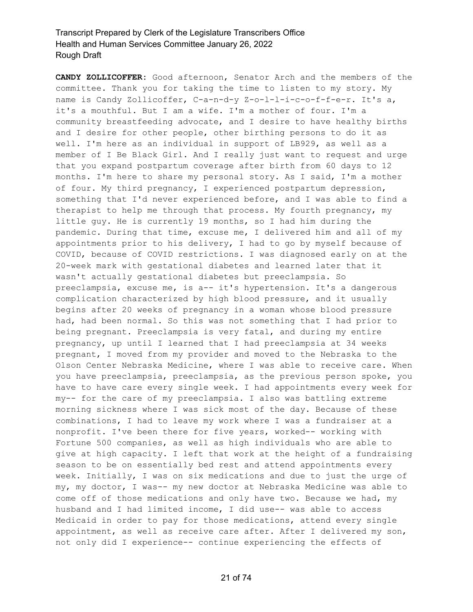**CANDY ZOLLICOFFER:** Good afternoon, Senator Arch and the members of the committee. Thank you for taking the time to listen to my story. My name is Candy Zollicoffer, C-a-n-d-y Z-o-l-l-i-c-o-f-f-e-r. It's a, it's a mouthful. But I am a wife. I'm a mother of four. I'm a community breastfeeding advocate, and I desire to have healthy births and I desire for other people, other birthing persons to do it as well. I'm here as an individual in support of LB929, as well as a member of I Be Black Girl. And I really just want to request and urge that you expand postpartum coverage after birth from 60 days to 12 months. I'm here to share my personal story. As I said, I'm a mother of four. My third pregnancy, I experienced postpartum depression, something that I'd never experienced before, and I was able to find a therapist to help me through that process. My fourth pregnancy, my little guy. He is currently 19 months, so I had him during the pandemic. During that time, excuse me, I delivered him and all of my appointments prior to his delivery, I had to go by myself because of COVID, because of COVID restrictions. I was diagnosed early on at the 20-week mark with gestational diabetes and learned later that it wasn't actually gestational diabetes but preeclampsia. So preeclampsia, excuse me, is a-- it's hypertension. It's a dangerous complication characterized by high blood pressure, and it usually begins after 20 weeks of pregnancy in a woman whose blood pressure had, had been normal. So this was not something that I had prior to being pregnant. Preeclampsia is very fatal, and during my entire pregnancy, up until I learned that I had preeclampsia at 34 weeks pregnant, I moved from my provider and moved to the Nebraska to the Olson Center Nebraska Medicine, where I was able to receive care. When you have preeclampsia, preeclampsia, as the previous person spoke, you have to have care every single week. I had appointments every week for my-- for the care of my preeclampsia. I also was battling extreme morning sickness where I was sick most of the day. Because of these combinations, I had to leave my work where I was a fundraiser at a nonprofit. I've been there for five years, worked-- working with Fortune 500 companies, as well as high individuals who are able to give at high capacity. I left that work at the height of a fundraising season to be on essentially bed rest and attend appointments every week. Initially, I was on six medications and due to just the urge of my, my doctor, I was-- my new doctor at Nebraska Medicine was able to come off of those medications and only have two. Because we had, my husband and I had limited income, I did use-- was able to access Medicaid in order to pay for those medications, attend every single appointment, as well as receive care after. After I delivered my son, not only did I experience-- continue experiencing the effects of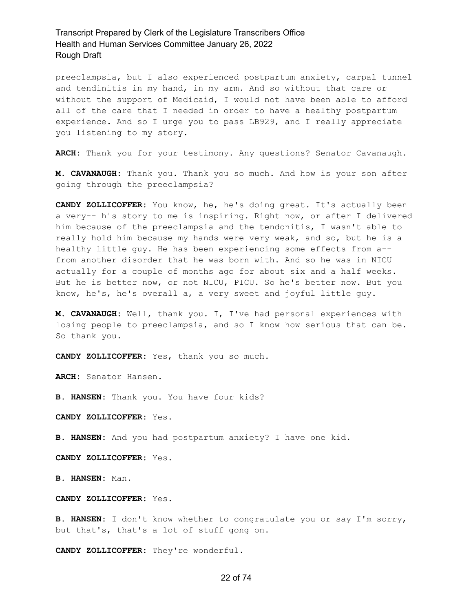preeclampsia, but I also experienced postpartum anxiety, carpal tunnel and tendinitis in my hand, in my arm. And so without that care or without the support of Medicaid, I would not have been able to afford all of the care that I needed in order to have a healthy postpartum experience. And so I urge you to pass LB929, and I really appreciate you listening to my story.

**ARCH:** Thank you for your testimony. Any questions? Senator Cavanaugh.

**M. CAVANAUGH:** Thank you. Thank you so much. And how is your son after going through the preeclampsia?

**CANDY ZOLLICOFFER:** You know, he, he's doing great. It's actually been a very-- his story to me is inspiring. Right now, or after I delivered him because of the preeclampsia and the tendonitis, I wasn't able to really hold him because my hands were very weak, and so, but he is a healthy little guy. He has been experiencing some effects from a- from another disorder that he was born with. And so he was in NICU actually for a couple of months ago for about six and a half weeks. But he is better now, or not NICU, PICU. So he's better now. But you know, he's, he's overall a, a very sweet and joyful little guy.

**M. CAVANAUGH:** Well, thank you. I, I've had personal experiences with losing people to preeclampsia, and so I know how serious that can be. So thank you.

**CANDY ZOLLICOFFER:** Yes, thank you so much.

**ARCH:** Senator Hansen.

**B. HANSEN:** Thank you. You have four kids?

**CANDY ZOLLICOFFER:** Yes.

**B. HANSEN:** And you had postpartum anxiety? I have one kid.

**CANDY ZOLLICOFFER:** Yes.

**B. HANSEN:** Man.

### **CANDY ZOLLICOFFER:** Yes.

**B. HANSEN:** I don't know whether to congratulate you or say I'm sorry, but that's, that's a lot of stuff gong on.

**CANDY ZOLLICOFFER:** They're wonderful.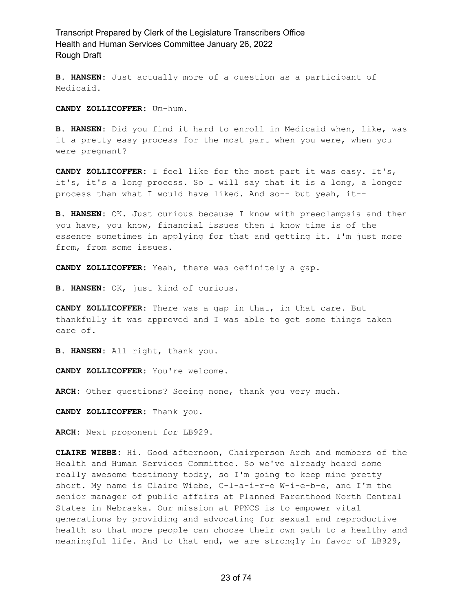**B. HANSEN:** Just actually more of a question as a participant of Medicaid.

**CANDY ZOLLICOFFER:** Um-hum.

**B. HANSEN:** Did you find it hard to enroll in Medicaid when, like, was it a pretty easy process for the most part when you were, when you were pregnant?

**CANDY ZOLLICOFFER:** I feel like for the most part it was easy. It's, it's, it's a long process. So I will say that it is a long, a longer process than what I would have liked. And so-- but yeah, it--

**B. HANSEN:** OK. Just curious because I know with preeclampsia and then you have, you know, financial issues then I know time is of the essence sometimes in applying for that and getting it. I'm just more from, from some issues.

**CANDY ZOLLICOFFER:** Yeah, there was definitely a gap.

**B. HANSEN:** OK, just kind of curious.

**CANDY ZOLLICOFFER:** There was a gap in that, in that care. But thankfully it was approved and I was able to get some things taken care of.

**B. HANSEN:** All right, thank you.

**CANDY ZOLLICOFFER:** You're welcome.

**ARCH:** Other questions? Seeing none, thank you very much.

**CANDY ZOLLICOFFER:** Thank you.

**ARCH:** Next proponent for LB929.

**CLAIRE WIEBE:** Hi. Good afternoon, Chairperson Arch and members of the Health and Human Services Committee. So we've already heard some really awesome testimony today, so I'm going to keep mine pretty short. My name is Claire Wiebe, C-l-a-i-r-e W-i-e-b-e, and I'm the senior manager of public affairs at Planned Parenthood North Central States in Nebraska. Our mission at PPNCS is to empower vital generations by providing and advocating for sexual and reproductive health so that more people can choose their own path to a healthy and meaningful life. And to that end, we are strongly in favor of LB929,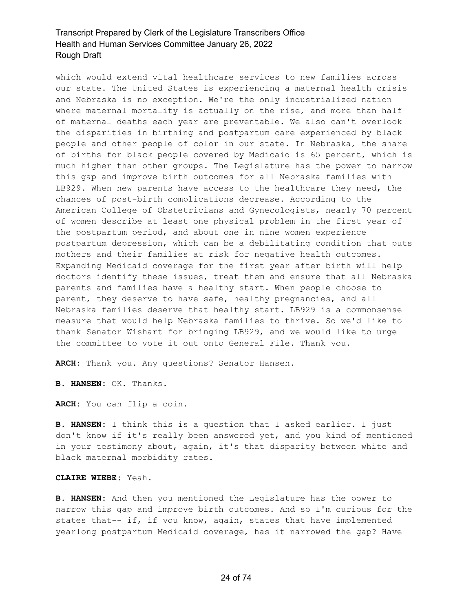which would extend vital healthcare services to new families across our state. The United States is experiencing a maternal health crisis and Nebraska is no exception. We're the only industrialized nation where maternal mortality is actually on the rise, and more than half of maternal deaths each year are preventable. We also can't overlook the disparities in birthing and postpartum care experienced by black people and other people of color in our state. In Nebraska, the share of births for black people covered by Medicaid is 65 percent, which is much higher than other groups. The Legislature has the power to narrow this gap and improve birth outcomes for all Nebraska families with LB929. When new parents have access to the healthcare they need, the chances of post-birth complications decrease. According to the American College of Obstetricians and Gynecologists, nearly 70 percent of women describe at least one physical problem in the first year of the postpartum period, and about one in nine women experience postpartum depression, which can be a debilitating condition that puts mothers and their families at risk for negative health outcomes. Expanding Medicaid coverage for the first year after birth will help doctors identify these issues, treat them and ensure that all Nebraska parents and families have a healthy start. When people choose to parent, they deserve to have safe, healthy pregnancies, and all Nebraska families deserve that healthy start. LB929 is a commonsense measure that would help Nebraska families to thrive. So we'd like to thank Senator Wishart for bringing LB929, and we would like to urge the committee to vote it out onto General File. Thank you.

**ARCH:** Thank you. Any questions? Senator Hansen.

**B. HANSEN:** OK. Thanks.

**ARCH:** You can flip a coin.

**B. HANSEN:** I think this is a question that I asked earlier. I just don't know if it's really been answered yet, and you kind of mentioned in your testimony about, again, it's that disparity between white and black maternal morbidity rates.

### **CLAIRE WIEBE:** Yeah.

**B. HANSEN:** And then you mentioned the Legislature has the power to narrow this gap and improve birth outcomes. And so I'm curious for the states that-- if, if you know, again, states that have implemented yearlong postpartum Medicaid coverage, has it narrowed the gap? Have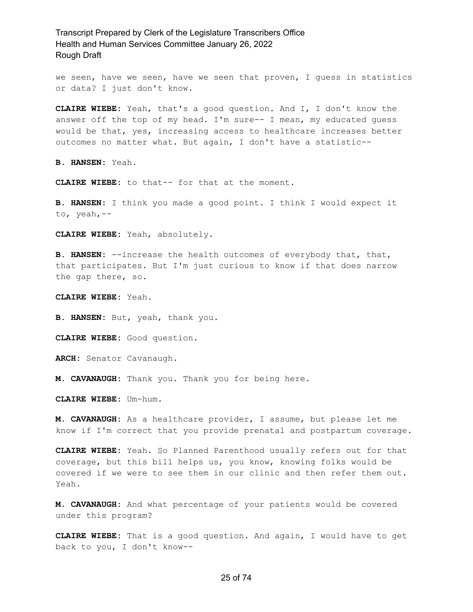we seen, have we seen, have we seen that proven, I guess in statistics or data? I just don't know.

**CLAIRE WIEBE:** Yeah, that's a good question. And I, I don't know the answer off the top of my head. I'm sure-- I mean, my educated guess would be that, yes, increasing access to healthcare increases better outcomes no matter what. But again, I don't have a statistic--

**B. HANSEN:** Yeah.

**CLAIRE WIEBE:** to that-- for that at the moment.

**B. HANSEN:** I think you made a good point. I think I would expect it to, yeah,--

**CLAIRE WIEBE:** Yeah, absolutely.

**B. HANSEN:** --increase the health outcomes of everybody that, that, that participates. But I'm just curious to know if that does narrow the gap there, so.

**CLAIRE WIEBE:** Yeah.

**B. HANSEN:** But, yeah, thank you.

**CLAIRE WIEBE:** Good question.

**ARCH:** Senator Cavanaugh.

**M. CAVANAUGH:** Thank you. Thank you for being here.

**CLAIRE WIEBE:** Um-hum.

**M. CAVANAUGH:** As a healthcare provider, I assume, but please let me know if I'm correct that you provide prenatal and postpartum coverage.

**CLAIRE WIEBE:** Yeah. So Planned Parenthood usually refers out for that coverage, but this bill helps us, you know, knowing folks would be covered if we were to see them in our clinic and then refer them out. Yeah.

**M. CAVANAUGH:** And what percentage of your patients would be covered under this program?

**CLAIRE WIEBE:** That is a good question. And again, I would have to get back to you, I don't know--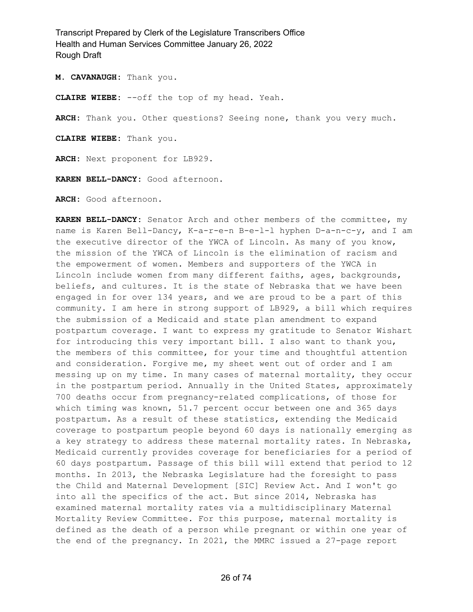**M. CAVANAUGH:** Thank you.

**CLAIRE WIEBE:** --off the top of my head. Yeah.

**ARCH:** Thank you. Other questions? Seeing none, thank you very much.

**CLAIRE WIEBE:** Thank you.

**ARCH:** Next proponent for LB929.

**KAREN BELL-DANCY:** Good afternoon.

**ARCH:** Good afternoon.

**KAREN BELL-DANCY:** Senator Arch and other members of the committee, my name is Karen Bell-Dancy, K-a-r-e-n B-e-l-l hyphen D-a-n-c-y, and I am the executive director of the YWCA of Lincoln. As many of you know, the mission of the YWCA of Lincoln is the elimination of racism and the empowerment of women. Members and supporters of the YWCA in Lincoln include women from many different faiths, ages, backgrounds, beliefs, and cultures. It is the state of Nebraska that we have been engaged in for over 134 years, and we are proud to be a part of this community. I am here in strong support of LB929, a bill which requires the submission of a Medicaid and state plan amendment to expand postpartum coverage. I want to express my gratitude to Senator Wishart for introducing this very important bill. I also want to thank you, the members of this committee, for your time and thoughtful attention and consideration. Forgive me, my sheet went out of order and I am messing up on my time. In many cases of maternal mortality, they occur in the postpartum period. Annually in the United States, approximately 700 deaths occur from pregnancy-related complications, of those for which timing was known, 51.7 percent occur between one and 365 days postpartum. As a result of these statistics, extending the Medicaid coverage to postpartum people beyond 60 days is nationally emerging as a key strategy to address these maternal mortality rates. In Nebraska, Medicaid currently provides coverage for beneficiaries for a period of 60 days postpartum. Passage of this bill will extend that period to 12 months. In 2013, the Nebraska Legislature had the foresight to pass the Child and Maternal Development [SIC] Review Act. And I won't go into all the specifics of the act. But since 2014, Nebraska has examined maternal mortality rates via a multidisciplinary Maternal Mortality Review Committee. For this purpose, maternal mortality is defined as the death of a person while pregnant or within one year of the end of the pregnancy. In 2021, the MMRC issued a 27-page report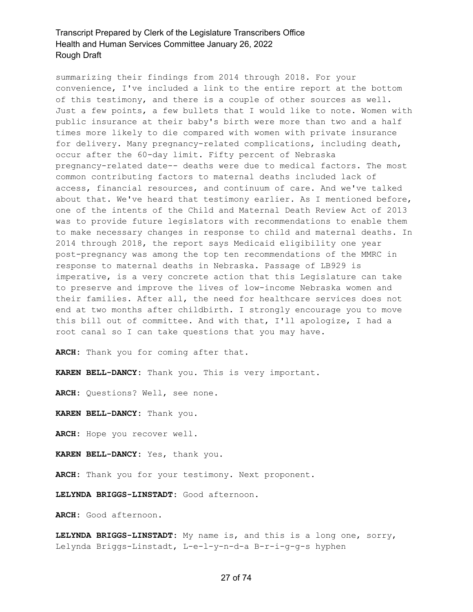summarizing their findings from 2014 through 2018. For your convenience, I've included a link to the entire report at the bottom of this testimony, and there is a couple of other sources as well. Just a few points, a few bullets that I would like to note. Women with public insurance at their baby's birth were more than two and a half times more likely to die compared with women with private insurance for delivery. Many pregnancy-related complications, including death, occur after the 60-day limit. Fifty percent of Nebraska pregnancy-related date-- deaths were due to medical factors. The most common contributing factors to maternal deaths included lack of access, financial resources, and continuum of care. And we've talked about that. We've heard that testimony earlier. As I mentioned before, one of the intents of the Child and Maternal Death Review Act of 2013 was to provide future legislators with recommendations to enable them to make necessary changes in response to child and maternal deaths. In 2014 through 2018, the report says Medicaid eligibility one year post-pregnancy was among the top ten recommendations of the MMRC in response to maternal deaths in Nebraska. Passage of LB929 is imperative, is a very concrete action that this Legislature can take to preserve and improve the lives of low-income Nebraska women and their families. After all, the need for healthcare services does not end at two months after childbirth. I strongly encourage you to move this bill out of committee. And with that, I'll apologize, I had a root canal so I can take questions that you may have.

**ARCH:** Thank you for coming after that.

**KAREN BELL-DANCY:** Thank you. This is very important.

**ARCH:** Questions? Well, see none.

**KAREN BELL-DANCY:** Thank you.

**ARCH:** Hope you recover well.

**KAREN BELL-DANCY:** Yes, thank you.

**ARCH:** Thank you for your testimony. Next proponent.

**LELYNDA BRIGGS-LINSTADT:** Good afternoon.

**ARCH:** Good afternoon.

**LELYNDA BRIGGS-LINSTADT:** My name is, and this is a long one, sorry, Lelynda Briggs-Linstadt, L-e-l-y-n-d-a B-r-i-g-g-s hyphen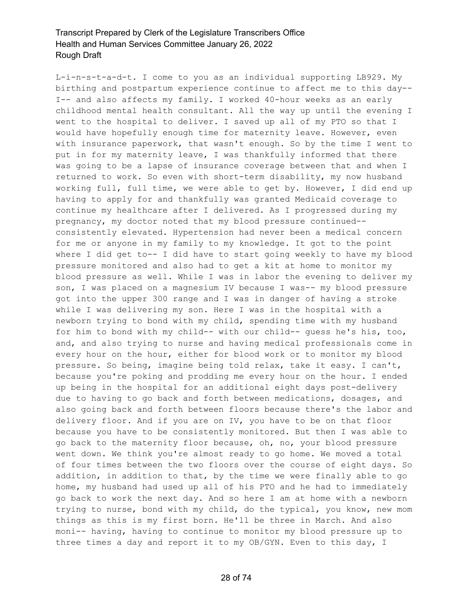L-i-n-s-t-a-d-t. I come to you as an individual supporting LB929. My birthing and postpartum experience continue to affect me to this day-- I-- and also affects my family. I worked 40-hour weeks as an early childhood mental health consultant. All the way up until the evening I went to the hospital to deliver. I saved up all of my PTO so that I would have hopefully enough time for maternity leave. However, even with insurance paperwork, that wasn't enough. So by the time I went to put in for my maternity leave, I was thankfully informed that there was going to be a lapse of insurance coverage between that and when I returned to work. So even with short-term disability, my now husband working full, full time, we were able to get by. However, I did end up having to apply for and thankfully was granted Medicaid coverage to continue my healthcare after I delivered. As I progressed during my pregnancy, my doctor noted that my blood pressure continued- consistently elevated. Hypertension had never been a medical concern for me or anyone in my family to my knowledge. It got to the point where I did get to-- I did have to start going weekly to have my blood pressure monitored and also had to get a kit at home to monitor my blood pressure as well. While I was in labor the evening to deliver my son, I was placed on a magnesium IV because I was-- my blood pressure got into the upper 300 range and I was in danger of having a stroke while I was delivering my son. Here I was in the hospital with a newborn trying to bond with my child, spending time with my husband for him to bond with my child-- with our child-- guess he's his, too, and, and also trying to nurse and having medical professionals come in every hour on the hour, either for blood work or to monitor my blood pressure. So being, imagine being told relax, take it easy. I can't, because you're poking and prodding me every hour on the hour. I ended up being in the hospital for an additional eight days post-delivery due to having to go back and forth between medications, dosages, and also going back and forth between floors because there's the labor and delivery floor. And if you are on IV, you have to be on that floor because you have to be consistently monitored. But then I was able to go back to the maternity floor because, oh, no, your blood pressure went down. We think you're almost ready to go home. We moved a total of four times between the two floors over the course of eight days. So addition, in addition to that, by the time we were finally able to go home, my husband had used up all of his PTO and he had to immediately go back to work the next day. And so here I am at home with a newborn trying to nurse, bond with my child, do the typical, you know, new mom things as this is my first born. He'll be three in March. And also moni-- having, having to continue to monitor my blood pressure up to three times a day and report it to my OB/GYN. Even to this day, I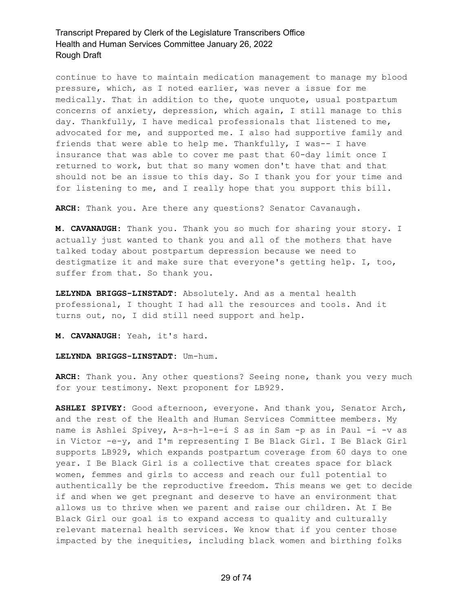continue to have to maintain medication management to manage my blood pressure, which, as I noted earlier, was never a issue for me medically. That in addition to the, quote unquote, usual postpartum concerns of anxiety, depression, which again, I still manage to this day. Thankfully, I have medical professionals that listened to me, advocated for me, and supported me. I also had supportive family and friends that were able to help me. Thankfully, I was-- I have insurance that was able to cover me past that 60-day limit once I returned to work, but that so many women don't have that and that should not be an issue to this day. So I thank you for your time and for listening to me, and I really hope that you support this bill.

**ARCH:** Thank you. Are there any questions? Senator Cavanaugh.

**M. CAVANAUGH:** Thank you. Thank you so much for sharing your story. I actually just wanted to thank you and all of the mothers that have talked today about postpartum depression because we need to destigmatize it and make sure that everyone's getting help. I, too, suffer from that. So thank you.

**LELYNDA BRIGGS-LINSTADT:** Absolutely. And as a mental health professional, I thought I had all the resources and tools. And it turns out, no, I did still need support and help.

**M. CAVANAUGH:** Yeah, it's hard.

**LELYNDA BRIGGS-LINSTADT:** Um-hum.

**ARCH:** Thank you. Any other questions? Seeing none, thank you very much for your testimony. Next proponent for LB929.

**ASHLEI SPIVEY:** Good afternoon, everyone. And thank you, Senator Arch, and the rest of the Health and Human Services Committee members. My name is Ashlei Spivey, A-s-h-l-e-i S as in Sam -p as in Paul -i -v as in Victor -e-y, and I'm representing I Be Black Girl. I Be Black Girl supports LB929, which expands postpartum coverage from 60 days to one year. I Be Black Girl is a collective that creates space for black women, femmes and girls to access and reach our full potential to authentically be the reproductive freedom. This means we get to decide if and when we get pregnant and deserve to have an environment that allows us to thrive when we parent and raise our children. At I Be Black Girl our goal is to expand access to quality and culturally relevant maternal health services. We know that if you center those impacted by the inequities, including black women and birthing folks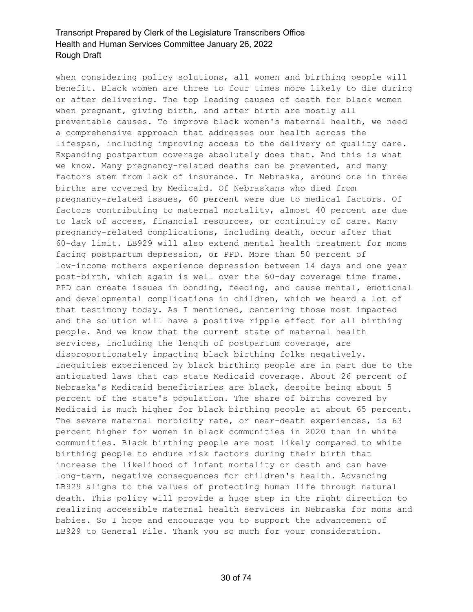when considering policy solutions, all women and birthing people will benefit. Black women are three to four times more likely to die during or after delivering. The top leading causes of death for black women when pregnant, giving birth, and after birth are mostly all preventable causes. To improve black women's maternal health, we need a comprehensive approach that addresses our health across the lifespan, including improving access to the delivery of quality care. Expanding postpartum coverage absolutely does that. And this is what we know. Many pregnancy-related deaths can be prevented, and many factors stem from lack of insurance. In Nebraska, around one in three births are covered by Medicaid. Of Nebraskans who died from pregnancy-related issues, 60 percent were due to medical factors. Of factors contributing to maternal mortality, almost 40 percent are due to lack of access, financial resources, or continuity of care. Many pregnancy-related complications, including death, occur after that 60-day limit. LB929 will also extend mental health treatment for moms facing postpartum depression, or PPD. More than 50 percent of low-income mothers experience depression between 14 days and one year post-birth, which again is well over the 60-day coverage time frame. PPD can create issues in bonding, feeding, and cause mental, emotional and developmental complications in children, which we heard a lot of that testimony today. As I mentioned, centering those most impacted and the solution will have a positive ripple effect for all birthing people. And we know that the current state of maternal health services, including the length of postpartum coverage, are disproportionately impacting black birthing folks negatively. Inequities experienced by black birthing people are in part due to the antiquated laws that cap state Medicaid coverage. About 26 percent of Nebraska's Medicaid beneficiaries are black, despite being about 5 percent of the state's population. The share of births covered by Medicaid is much higher for black birthing people at about 65 percent. The severe maternal morbidity rate, or near-death experiences, is 63 percent higher for women in black communities in 2020 than in white communities. Black birthing people are most likely compared to white birthing people to endure risk factors during their birth that increase the likelihood of infant mortality or death and can have long-term, negative consequences for children's health. Advancing LB929 aligns to the values of protecting human life through natural death. This policy will provide a huge step in the right direction to realizing accessible maternal health services in Nebraska for moms and babies. So I hope and encourage you to support the advancement of LB929 to General File. Thank you so much for your consideration.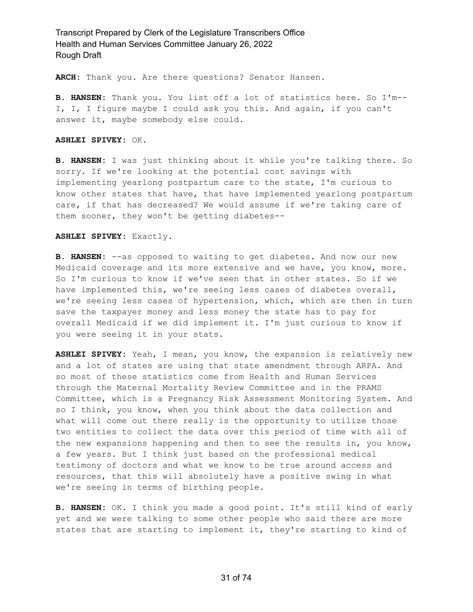**ARCH:** Thank you. Are there questions? Senator Hansen.

**B. HANSEN:** Thank you. You list off a lot of statistics here. So I'm-- I, I, I figure maybe I could ask you this. And again, if you can't answer it, maybe somebody else could.

### **ASHLEI SPIVEY:** OK.

**B. HANSEN:** I was just thinking about it while you're talking there. So sorry. If we're looking at the potential cost savings with implementing yearlong postpartum care to the state, I'm curious to know other states that have, that have implemented yearlong postpartum care, if that has decreased? We would assume if we're taking care of them sooner, they won't be getting diabetes--

#### **ASHLEI SPIVEY:** Exactly.

**B. HANSEN:** --as opposed to waiting to get diabetes. And now our new Medicaid coverage and its more extensive and we have, you know, more. So I'm curious to know if we've seen that in other states. So if we have implemented this, we're seeing less cases of diabetes overall, we're seeing less cases of hypertension, which, which are then in turn save the taxpayer money and less money the state has to pay for overall Medicaid if we did implement it. I'm just curious to know if you were seeing it in your stats.

**ASHLEI SPIVEY:** Yeah, I mean, you know, the expansion is relatively new and a lot of states are using that state amendment through ARPA. And so most of these statistics come from Health and Human Services through the Maternal Mortality Review Committee and in the PRAMS Committee, which is a Pregnancy Risk Assessment Monitoring System. And so I think, you know, when you think about the data collection and what will come out there really is the opportunity to utilize those two entities to collect the data over this period of time with all of the new expansions happening and then to see the results in, you know, a few years. But I think just based on the professional medical testimony of doctors and what we know to be true around access and resources, that this will absolutely have a positive swing in what we're seeing in terms of birthing people.

**B. HANSEN:** OK. I think you made a good point. It's still kind of early yet and we were talking to some other people who said there are more states that are starting to implement it, they're starting to kind of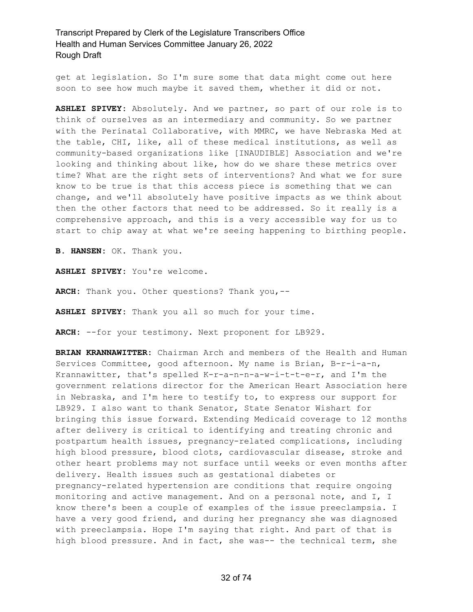get at legislation. So I'm sure some that data might come out here soon to see how much maybe it saved them, whether it did or not.

**ASHLEI SPIVEY:** Absolutely. And we partner, so part of our role is to think of ourselves as an intermediary and community. So we partner with the Perinatal Collaborative, with MMRC, we have Nebraska Med at the table, CHI, like, all of these medical institutions, as well as community-based organizations like [INAUDIBLE] Association and we're looking and thinking about like, how do we share these metrics over time? What are the right sets of interventions? And what we for sure know to be true is that this access piece is something that we can change, and we'll absolutely have positive impacts as we think about then the other factors that need to be addressed. So it really is a comprehensive approach, and this is a very accessible way for us to start to chip away at what we're seeing happening to birthing people.

**B. HANSEN:** OK. Thank you.

**ASHLEI SPIVEY:** You're welcome.

**ARCH:** Thank you. Other questions? Thank you,--

**ASHLEI SPIVEY:** Thank you all so much for your time.

**ARCH:** --for your testimony. Next proponent for LB929.

**BRIAN KRANNAWITTER:** Chairman Arch and members of the Health and Human Services Committee, good afternoon. My name is Brian, B-r-i-a-n, Krannawitter, that's spelled K-r-a-n-n-a-w-i-t-t-e-r, and I'm the government relations director for the American Heart Association here in Nebraska, and I'm here to testify to, to express our support for LB929. I also want to thank Senator, State Senator Wishart for bringing this issue forward. Extending Medicaid coverage to 12 months after delivery is critical to identifying and treating chronic and postpartum health issues, pregnancy-related complications, including high blood pressure, blood clots, cardiovascular disease, stroke and other heart problems may not surface until weeks or even months after delivery. Health issues such as gestational diabetes or pregnancy-related hypertension are conditions that require ongoing monitoring and active management. And on a personal note, and I, I know there's been a couple of examples of the issue preeclampsia. I have a very good friend, and during her pregnancy she was diagnosed with preeclampsia. Hope I'm saying that right. And part of that is high blood pressure. And in fact, she was-- the technical term, she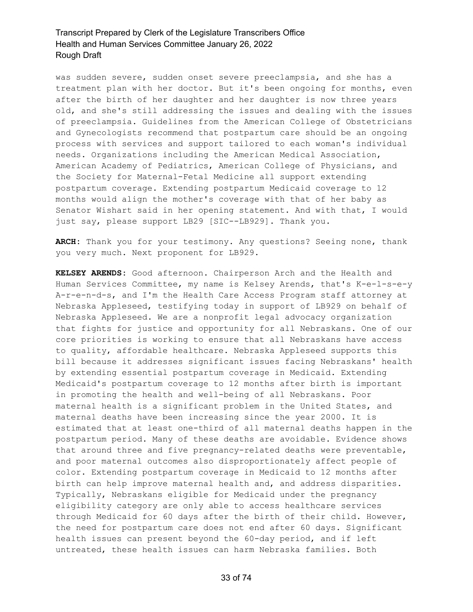was sudden severe, sudden onset severe preeclampsia, and she has a treatment plan with her doctor. But it's been ongoing for months, even after the birth of her daughter and her daughter is now three years old, and she's still addressing the issues and dealing with the issues of preeclampsia. Guidelines from the American College of Obstetricians and Gynecologists recommend that postpartum care should be an ongoing process with services and support tailored to each woman's individual needs. Organizations including the American Medical Association, American Academy of Pediatrics, American College of Physicians, and the Society for Maternal-Fetal Medicine all support extending postpartum coverage. Extending postpartum Medicaid coverage to 12 months would align the mother's coverage with that of her baby as Senator Wishart said in her opening statement. And with that, I would just say, please support LB29 [SIC--LB929]. Thank you.

**ARCH:** Thank you for your testimony. Any questions? Seeing none, thank you very much. Next proponent for LB929.

**KELSEY ARENDS:** Good afternoon. Chairperson Arch and the Health and Human Services Committee, my name is Kelsey Arends, that's K-e-l-s-e-y A-r-e-n-d-s, and I'm the Health Care Access Program staff attorney at Nebraska Appleseed, testifying today in support of LB929 on behalf of Nebraska Appleseed. We are a nonprofit legal advocacy organization that fights for justice and opportunity for all Nebraskans. One of our core priorities is working to ensure that all Nebraskans have access to quality, affordable healthcare. Nebraska Appleseed supports this bill because it addresses significant issues facing Nebraskans' health by extending essential postpartum coverage in Medicaid. Extending Medicaid's postpartum coverage to 12 months after birth is important in promoting the health and well-being of all Nebraskans. Poor maternal health is a significant problem in the United States, and maternal deaths have been increasing since the year 2000. It is estimated that at least one-third of all maternal deaths happen in the postpartum period. Many of these deaths are avoidable. Evidence shows that around three and five pregnancy-related deaths were preventable, and poor maternal outcomes also disproportionately affect people of color. Extending postpartum coverage in Medicaid to 12 months after birth can help improve maternal health and, and address disparities. Typically, Nebraskans eligible for Medicaid under the pregnancy eligibility category are only able to access healthcare services through Medicaid for 60 days after the birth of their child. However, the need for postpartum care does not end after 60 days. Significant health issues can present beyond the 60-day period, and if left untreated, these health issues can harm Nebraska families. Both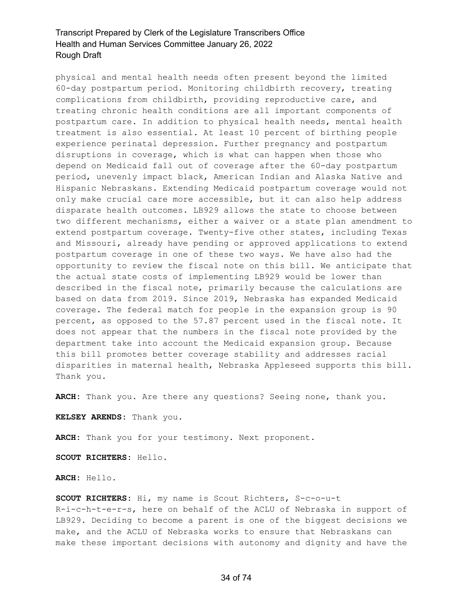physical and mental health needs often present beyond the limited 60-day postpartum period. Monitoring childbirth recovery, treating complications from childbirth, providing reproductive care, and treating chronic health conditions are all important components of postpartum care. In addition to physical health needs, mental health treatment is also essential. At least 10 percent of birthing people experience perinatal depression. Further pregnancy and postpartum disruptions in coverage, which is what can happen when those who depend on Medicaid fall out of coverage after the 60-day postpartum period, unevenly impact black, American Indian and Alaska Native and Hispanic Nebraskans. Extending Medicaid postpartum coverage would not only make crucial care more accessible, but it can also help address disparate health outcomes. LB929 allows the state to choose between two different mechanisms, either a waiver or a state plan amendment to extend postpartum coverage. Twenty-five other states, including Texas and Missouri, already have pending or approved applications to extend postpartum coverage in one of these two ways. We have also had the opportunity to review the fiscal note on this bill. We anticipate that the actual state costs of implementing LB929 would be lower than described in the fiscal note, primarily because the calculations are based on data from 2019. Since 2019, Nebraska has expanded Medicaid coverage. The federal match for people in the expansion group is 90 percent, as opposed to the 57.87 percent used in the fiscal note. It does not appear that the numbers in the fiscal note provided by the department take into account the Medicaid expansion group. Because this bill promotes better coverage stability and addresses racial disparities in maternal health, Nebraska Appleseed supports this bill. Thank you.

**ARCH:** Thank you. Are there any questions? Seeing none, thank you.

**KELSEY ARENDS:** Thank you.

**ARCH:** Thank you for your testimony. Next proponent.

**SCOUT RICHTERS:** Hello.

**ARCH:** Hello.

**SCOUT RICHTERS:** Hi, my name is Scout Richters, S-c-o-u-t R-i-c-h-t-e-r-s, here on behalf of the ACLU of Nebraska in support of LB929. Deciding to become a parent is one of the biggest decisions we make, and the ACLU of Nebraska works to ensure that Nebraskans can make these important decisions with autonomy and dignity and have the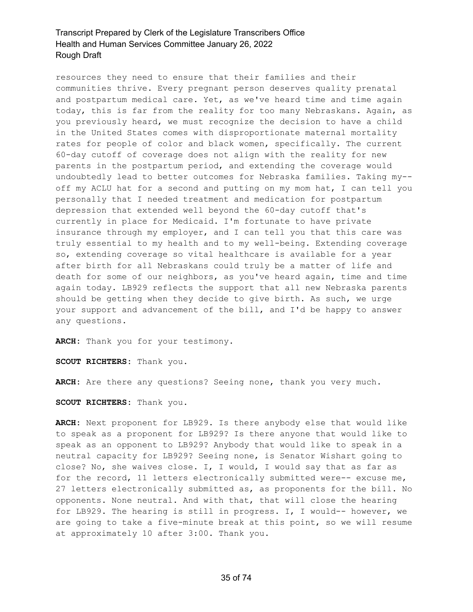resources they need to ensure that their families and their communities thrive. Every pregnant person deserves quality prenatal and postpartum medical care. Yet, as we've heard time and time again today, this is far from the reality for too many Nebraskans. Again, as you previously heard, we must recognize the decision to have a child in the United States comes with disproportionate maternal mortality rates for people of color and black women, specifically. The current 60-day cutoff of coverage does not align with the reality for new parents in the postpartum period, and extending the coverage would undoubtedly lead to better outcomes for Nebraska families. Taking my- off my ACLU hat for a second and putting on my mom hat, I can tell you personally that I needed treatment and medication for postpartum depression that extended well beyond the 60-day cutoff that's currently in place for Medicaid. I'm fortunate to have private insurance through my employer, and I can tell you that this care was truly essential to my health and to my well-being. Extending coverage so, extending coverage so vital healthcare is available for a year after birth for all Nebraskans could truly be a matter of life and death for some of our neighbors, as you've heard again, time and time again today. LB929 reflects the support that all new Nebraska parents should be getting when they decide to give birth. As such, we urge your support and advancement of the bill, and I'd be happy to answer any questions.

**ARCH:** Thank you for your testimony.

**SCOUT RICHTERS:** Thank you.

**ARCH:** Are there any questions? Seeing none, thank you very much.

**SCOUT RICHTERS:** Thank you.

**ARCH:** Next proponent for LB929. Is there anybody else that would like to speak as a proponent for LB929? Is there anyone that would like to speak as an opponent to LB929? Anybody that would like to speak in a neutral capacity for LB929? Seeing none, is Senator Wishart going to close? No, she waives close. I, I would, I would say that as far as for the record, 11 letters electronically submitted were-- excuse me, 27 letters electronically submitted as, as proponents for the bill. No opponents. None neutral. And with that, that will close the hearing for LB929. The hearing is still in progress. I, I would-- however, we are going to take a five-minute break at this point, so we will resume at approximately 10 after 3:00. Thank you.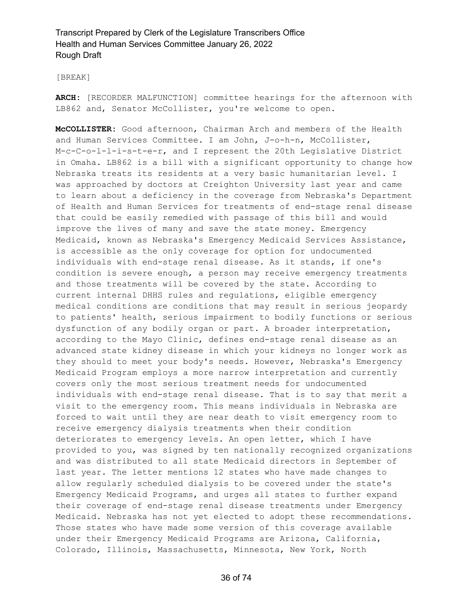### [BREAK]

**ARCH:** [RECORDER MALFUNCTION] committee hearings for the afternoon with LB862 and, Senator McCollister, you're welcome to open.

**McCOLLISTER:** Good afternoon, Chairman Arch and members of the Health and Human Services Committee. I am John, J-o-h-n, McCollister, M-c-C-o-l-l-i-s-t-e-r, and I represent the 20th Legislative District in Omaha. LB862 is a bill with a significant opportunity to change how Nebraska treats its residents at a very basic humanitarian level. I was approached by doctors at Creighton University last year and came to learn about a deficiency in the coverage from Nebraska's Department of Health and Human Services for treatments of end-stage renal disease that could be easily remedied with passage of this bill and would improve the lives of many and save the state money. Emergency Medicaid, known as Nebraska's Emergency Medicaid Services Assistance, is accessible as the only coverage for option for undocumented individuals with end-stage renal disease. As it stands, if one's condition is severe enough, a person may receive emergency treatments and those treatments will be covered by the state. According to current internal DHHS rules and regulations, eligible emergency medical conditions are conditions that may result in serious jeopardy to patients' health, serious impairment to bodily functions or serious dysfunction of any bodily organ or part. A broader interpretation, according to the Mayo Clinic, defines end-stage renal disease as an advanced state kidney disease in which your kidneys no longer work as they should to meet your body's needs. However, Nebraska's Emergency Medicaid Program employs a more narrow interpretation and currently covers only the most serious treatment needs for undocumented individuals with end-stage renal disease. That is to say that merit a visit to the emergency room. This means individuals in Nebraska are forced to wait until they are near death to visit emergency room to receive emergency dialysis treatments when their condition deteriorates to emergency levels. An open letter, which I have provided to you, was signed by ten nationally recognized organizations and was distributed to all state Medicaid directors in September of last year. The letter mentions 12 states who have made changes to allow regularly scheduled dialysis to be covered under the state's Emergency Medicaid Programs, and urges all states to further expand their coverage of end-stage renal disease treatments under Emergency Medicaid. Nebraska has not yet elected to adopt these recommendations. Those states who have made some version of this coverage available under their Emergency Medicaid Programs are Arizona, California, Colorado, Illinois, Massachusetts, Minnesota, New York, North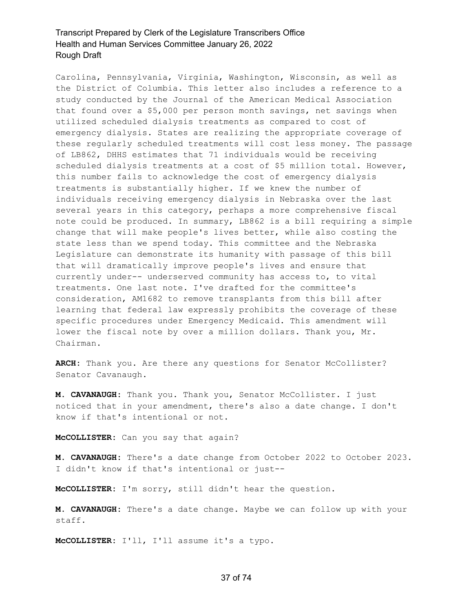Carolina, Pennsylvania, Virginia, Washington, Wisconsin, as well as the District of Columbia. This letter also includes a reference to a study conducted by the Journal of the American Medical Association that found over a \$5,000 per person month savings, net savings when utilized scheduled dialysis treatments as compared to cost of emergency dialysis. States are realizing the appropriate coverage of these regularly scheduled treatments will cost less money. The passage of LB862, DHHS estimates that 71 individuals would be receiving scheduled dialysis treatments at a cost of \$5 million total. However, this number fails to acknowledge the cost of emergency dialysis treatments is substantially higher. If we knew the number of individuals receiving emergency dialysis in Nebraska over the last several years in this category, perhaps a more comprehensive fiscal note could be produced. In summary, LB862 is a bill requiring a simple change that will make people's lives better, while also costing the state less than we spend today. This committee and the Nebraska Legislature can demonstrate its humanity with passage of this bill that will dramatically improve people's lives and ensure that currently under-- underserved community has access to, to vital treatments. One last note. I've drafted for the committee's consideration, AM1682 to remove transplants from this bill after learning that federal law expressly prohibits the coverage of these specific procedures under Emergency Medicaid. This amendment will lower the fiscal note by over a million dollars. Thank you, Mr. Chairman.

**ARCH:** Thank you. Are there any questions for Senator McCollister? Senator Cavanaugh.

**M. CAVANAUGH:** Thank you. Thank you, Senator McCollister. I just noticed that in your amendment, there's also a date change. I don't know if that's intentional or not.

**McCOLLISTER:** Can you say that again?

**M. CAVANAUGH:** There's a date change from October 2022 to October 2023. I didn't know if that's intentional or just--

**McCOLLISTER:** I'm sorry, still didn't hear the question.

**M. CAVANAUGH:** There's a date change. Maybe we can follow up with your staff.

**McCOLLISTER:** I'll, I'll assume it's a typo.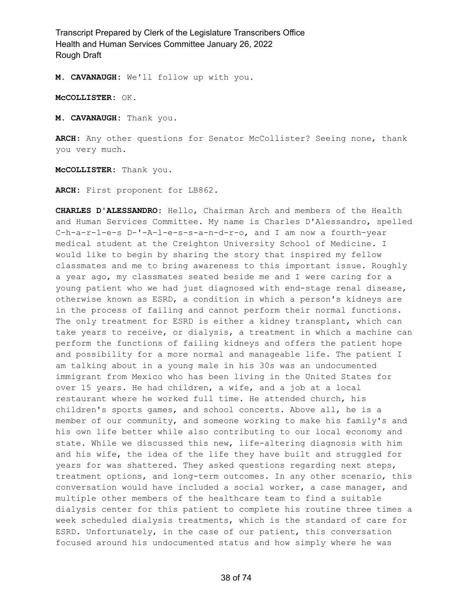**M. CAVANAUGH:** We'll follow up with you.

**McCOLLISTER:** OK.

**M. CAVANAUGH:** Thank you.

**ARCH:** Any other questions for Senator McCollister? Seeing none, thank you very much.

**McCOLLISTER:** Thank you.

**ARCH:** First proponent for LB862.

**CHARLES D'ALESSANDRO:** Hello, Chairman Arch and members of the Health and Human Services Committee. My name is Charles D'Alessandro, spelled C-h-a-r-l-e-s D-'-A-l-e-s-s-a-n-d-r-o, and I am now a fourth-year medical student at the Creighton University School of Medicine. I would like to begin by sharing the story that inspired my fellow classmates and me to bring awareness to this important issue. Roughly a year ago, my classmates seated beside me and I were caring for a young patient who we had just diagnosed with end-stage renal disease, otherwise known as ESRD, a condition in which a person's kidneys are in the process of failing and cannot perform their normal functions. The only treatment for ESRD is either a kidney transplant, which can take years to receive, or dialysis, a treatment in which a machine can perform the functions of failing kidneys and offers the patient hope and possibility for a more normal and manageable life. The patient I am talking about in a young male in his 30s was an undocumented immigrant from Mexico who has been living in the United States for over 15 years. He had children, a wife, and a job at a local restaurant where he worked full time. He attended church, his children's sports games, and school concerts. Above all, he is a member of our community, and someone working to make his family's and his own life better while also contributing to our local economy and state. While we discussed this new, life-altering diagnosis with him and his wife, the idea of the life they have built and struggled for years for was shattered. They asked questions regarding next steps, treatment options, and long-term outcomes. In any other scenario, this conversation would have included a social worker, a case manager, and multiple other members of the healthcare team to find a suitable dialysis center for this patient to complete his routine three times a week scheduled dialysis treatments, which is the standard of care for ESRD. Unfortunately, in the case of our patient, this conversation focused around his undocumented status and how simply where he was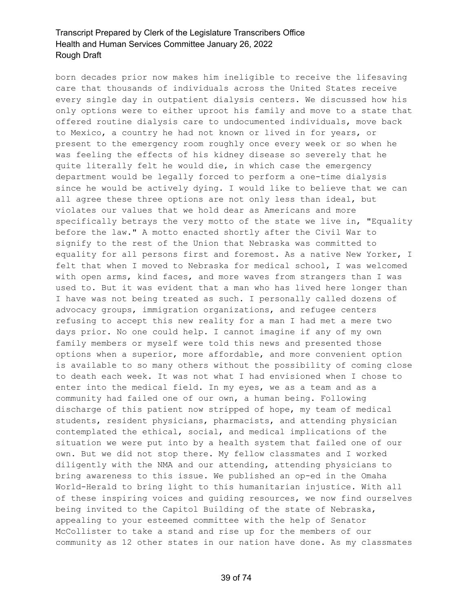born decades prior now makes him ineligible to receive the lifesaving care that thousands of individuals across the United States receive every single day in outpatient dialysis centers. We discussed how his only options were to either uproot his family and move to a state that offered routine dialysis care to undocumented individuals, move back to Mexico, a country he had not known or lived in for years, or present to the emergency room roughly once every week or so when he was feeling the effects of his kidney disease so severely that he quite literally felt he would die, in which case the emergency department would be legally forced to perform a one-time dialysis since he would be actively dying. I would like to believe that we can all agree these three options are not only less than ideal, but violates our values that we hold dear as Americans and more specifically betrays the very motto of the state we live in, "Equality before the law." A motto enacted shortly after the Civil War to signify to the rest of the Union that Nebraska was committed to equality for all persons first and foremost. As a native New Yorker, I felt that when I moved to Nebraska for medical school, I was welcomed with open arms, kind faces, and more waves from strangers than I was used to. But it was evident that a man who has lived here longer than I have was not being treated as such. I personally called dozens of advocacy groups, immigration organizations, and refugee centers refusing to accept this new reality for a man I had met a mere two days prior. No one could help. I cannot imagine if any of my own family members or myself were told this news and presented those options when a superior, more affordable, and more convenient option is available to so many others without the possibility of coming close to death each week. It was not what I had envisioned when I chose to enter into the medical field. In my eyes, we as a team and as a community had failed one of our own, a human being. Following discharge of this patient now stripped of hope, my team of medical students, resident physicians, pharmacists, and attending physician contemplated the ethical, social, and medical implications of the situation we were put into by a health system that failed one of our own. But we did not stop there. My fellow classmates and I worked diligently with the NMA and our attending, attending physicians to bring awareness to this issue. We published an op-ed in the Omaha World-Herald to bring light to this humanitarian injustice. With all of these inspiring voices and guiding resources, we now find ourselves being invited to the Capitol Building of the state of Nebraska, appealing to your esteemed committee with the help of Senator McCollister to take a stand and rise up for the members of our community as 12 other states in our nation have done. As my classmates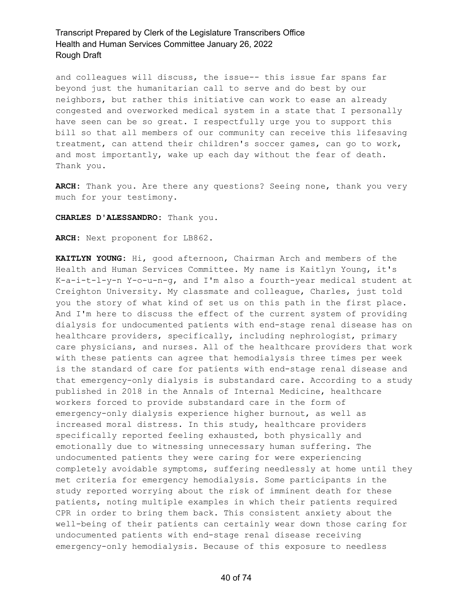and colleagues will discuss, the issue-- this issue far spans far beyond just the humanitarian call to serve and do best by our neighbors, but rather this initiative can work to ease an already congested and overworked medical system in a state that I personally have seen can be so great. I respectfully urge you to support this bill so that all members of our community can receive this lifesaving treatment, can attend their children's soccer games, can go to work, and most importantly, wake up each day without the fear of death. Thank you.

**ARCH:** Thank you. Are there any questions? Seeing none, thank you very much for your testimony.

**CHARLES D'ALESSANDRO:** Thank you.

**ARCH:** Next proponent for LB862.

**KAITLYN YOUNG:** Hi, good afternoon, Chairman Arch and members of the Health and Human Services Committee. My name is Kaitlyn Young, it's K-a-i-t-l-y-n Y-o-u-n-g, and I'm also a fourth-year medical student at Creighton University. My classmate and colleague, Charles, just told you the story of what kind of set us on this path in the first place. And I'm here to discuss the effect of the current system of providing dialysis for undocumented patients with end-stage renal disease has on healthcare providers, specifically, including nephrologist, primary care physicians, and nurses. All of the healthcare providers that work with these patients can agree that hemodialysis three times per week is the standard of care for patients with end-stage renal disease and that emergency-only dialysis is substandard care. According to a study published in 2018 in the Annals of Internal Medicine, healthcare workers forced to provide substandard care in the form of emergency-only dialysis experience higher burnout, as well as increased moral distress. In this study, healthcare providers specifically reported feeling exhausted, both physically and emotionally due to witnessing unnecessary human suffering. The undocumented patients they were caring for were experiencing completely avoidable symptoms, suffering needlessly at home until they met criteria for emergency hemodialysis. Some participants in the study reported worrying about the risk of imminent death for these patients, noting multiple examples in which their patients required CPR in order to bring them back. This consistent anxiety about the well-being of their patients can certainly wear down those caring for undocumented patients with end-stage renal disease receiving emergency-only hemodialysis. Because of this exposure to needless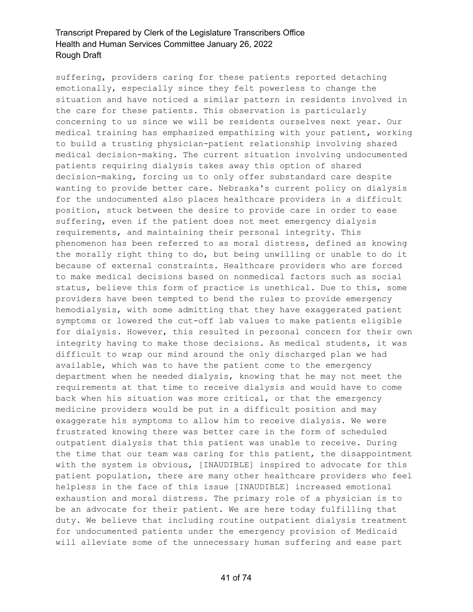suffering, providers caring for these patients reported detaching emotionally, especially since they felt powerless to change the situation and have noticed a similar pattern in residents involved in the care for these patients. This observation is particularly concerning to us since we will be residents ourselves next year. Our medical training has emphasized empathizing with your patient, working to build a trusting physician-patient relationship involving shared medical decision-making. The current situation involving undocumented patients requiring dialysis takes away this option of shared decision-making, forcing us to only offer substandard care despite wanting to provide better care. Nebraska's current policy on dialysis for the undocumented also places healthcare providers in a difficult position, stuck between the desire to provide care in order to ease suffering, even if the patient does not meet emergency dialysis requirements, and maintaining their personal integrity. This phenomenon has been referred to as moral distress, defined as knowing the morally right thing to do, but being unwilling or unable to do it because of external constraints. Healthcare providers who are forced to make medical decisions based on nonmedical factors such as social status, believe this form of practice is unethical. Due to this, some providers have been tempted to bend the rules to provide emergency hemodialysis, with some admitting that they have exaggerated patient symptoms or lowered the cut-off lab values to make patients eligible for dialysis. However, this resulted in personal concern for their own integrity having to make those decisions. As medical students, it was difficult to wrap our mind around the only discharged plan we had available, which was to have the patient come to the emergency department when he needed dialysis, knowing that he may not meet the requirements at that time to receive dialysis and would have to come back when his situation was more critical, or that the emergency medicine providers would be put in a difficult position and may exaggerate his symptoms to allow him to receive dialysis. We were frustrated knowing there was better care in the form of scheduled outpatient dialysis that this patient was unable to receive. During the time that our team was caring for this patient, the disappointment with the system is obvious, [INAUDIBLE] inspired to advocate for this patient population, there are many other healthcare providers who feel helpless in the face of this issue [INAUDIBLE] increased emotional exhaustion and moral distress. The primary role of a physician is to be an advocate for their patient. We are here today fulfilling that duty. We believe that including routine outpatient dialysis treatment for undocumented patients under the emergency provision of Medicaid will alleviate some of the unnecessary human suffering and ease part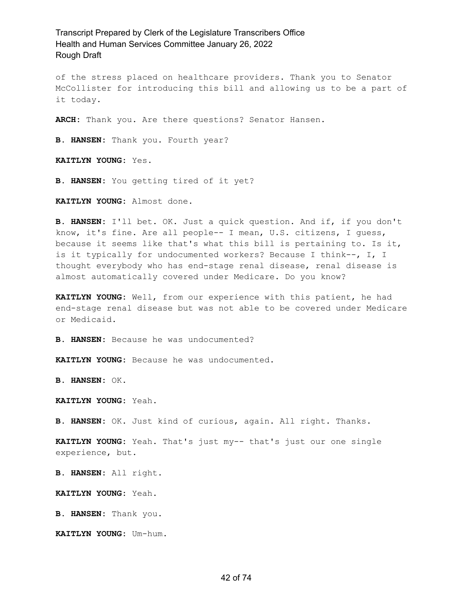of the stress placed on healthcare providers. Thank you to Senator McCollister for introducing this bill and allowing us to be a part of it today.

**ARCH:** Thank you. Are there questions? Senator Hansen.

**B. HANSEN:** Thank you. Fourth year?

**KAITLYN YOUNG:** Yes.

**B. HANSEN:** You getting tired of it yet?

**KAITLYN YOUNG:** Almost done.

**B. HANSEN:** I'll bet. OK. Just a quick question. And if, if you don't know, it's fine. Are all people-- I mean, U.S. citizens, I guess, because it seems like that's what this bill is pertaining to. Is it, is it typically for undocumented workers? Because I think--, I, I thought everybody who has end-stage renal disease, renal disease is almost automatically covered under Medicare. Do you know?

**KAITLYN YOUNG:** Well, from our experience with this patient, he had end-stage renal disease but was not able to be covered under Medicare or Medicaid.

**B. HANSEN:** Because he was undocumented?

**KAITLYN YOUNG:** Because he was undocumented.

**B. HANSEN:** OK.

**KAITLYN YOUNG:** Yeah.

**B. HANSEN:** OK. Just kind of curious, again. All right. Thanks.

**KAITLYN YOUNG:** Yeah. That's just my-- that's just our one single experience, but.

**B. HANSEN:** All right.

**KAITLYN YOUNG:** Yeah.

**B. HANSEN:** Thank you.

**KAITLYN YOUNG:** Um-hum.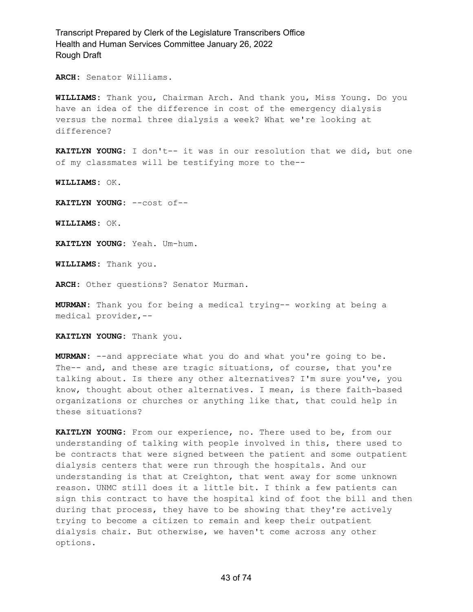**ARCH:** Senator Williams.

**WILLIAMS:** Thank you, Chairman Arch. And thank you, Miss Young. Do you have an idea of the difference in cost of the emergency dialysis versus the normal three dialysis a week? What we're looking at difference?

**KAITLYN YOUNG:** I don't-- it was in our resolution that we did, but one of my classmates will be testifying more to the--

**WILLIAMS:** OK.

**KAITLYN YOUNG:** --cost of--

**WILLIAMS:** OK.

**KAITLYN YOUNG:** Yeah. Um-hum.

**WILLIAMS:** Thank you.

**ARCH:** Other questions? Senator Murman.

**MURMAN:** Thank you for being a medical trying-- working at being a medical provider,--

**KAITLYN YOUNG:** Thank you.

**MURMAN:** --and appreciate what you do and what you're going to be. The-- and, and these are tragic situations, of course, that you're talking about. Is there any other alternatives? I'm sure you've, you know, thought about other alternatives. I mean, is there faith-based organizations or churches or anything like that, that could help in these situations?

**KAITLYN YOUNG:** From our experience, no. There used to be, from our understanding of talking with people involved in this, there used to be contracts that were signed between the patient and some outpatient dialysis centers that were run through the hospitals. And our understanding is that at Creighton, that went away for some unknown reason. UNMC still does it a little bit. I think a few patients can sign this contract to have the hospital kind of foot the bill and then during that process, they have to be showing that they're actively trying to become a citizen to remain and keep their outpatient dialysis chair. But otherwise, we haven't come across any other options.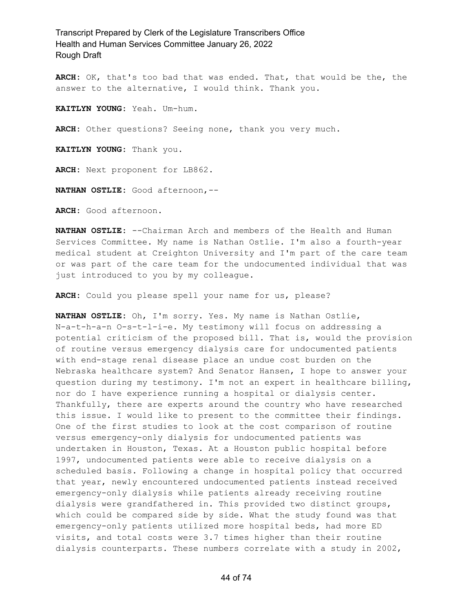**ARCH:** OK, that's too bad that was ended. That, that would be the, the answer to the alternative, I would think. Thank you.

**KAITLYN YOUNG:** Yeah. Um-hum.

**ARCH:** Other questions? Seeing none, thank you very much.

**KAITLYN YOUNG:** Thank you.

**ARCH:** Next proponent for LB862.

**NATHAN OSTLIE:** Good afternoon,--

**ARCH:** Good afternoon.

**NATHAN OSTLIE:** --Chairman Arch and members of the Health and Human Services Committee. My name is Nathan Ostlie. I'm also a fourth-year medical student at Creighton University and I'm part of the care team or was part of the care team for the undocumented individual that was just introduced to you by my colleague.

**ARCH:** Could you please spell your name for us, please?

**NATHAN OSTLIE:** Oh, I'm sorry. Yes. My name is Nathan Ostlie, N-a-t-h-a-n O-s-t-l-i-e. My testimony will focus on addressing a potential criticism of the proposed bill. That is, would the provision of routine versus emergency dialysis care for undocumented patients with end-stage renal disease place an undue cost burden on the Nebraska healthcare system? And Senator Hansen, I hope to answer your question during my testimony. I'm not an expert in healthcare billing, nor do I have experience running a hospital or dialysis center. Thankfully, there are experts around the country who have researched this issue. I would like to present to the committee their findings. One of the first studies to look at the cost comparison of routine versus emergency-only dialysis for undocumented patients was undertaken in Houston, Texas. At a Houston public hospital before 1997, undocumented patients were able to receive dialysis on a scheduled basis. Following a change in hospital policy that occurred that year, newly encountered undocumented patients instead received emergency-only dialysis while patients already receiving routine dialysis were grandfathered in. This provided two distinct groups, which could be compared side by side. What the study found was that emergency-only patients utilized more hospital beds, had more ED visits, and total costs were 3.7 times higher than their routine dialysis counterparts. These numbers correlate with a study in 2002,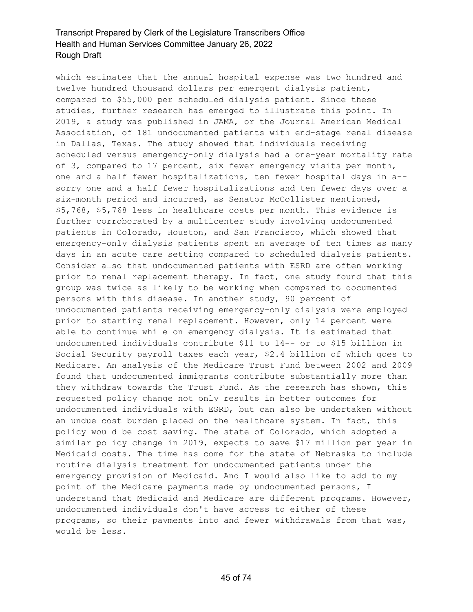which estimates that the annual hospital expense was two hundred and twelve hundred thousand dollars per emergent dialysis patient, compared to \$55,000 per scheduled dialysis patient. Since these studies, further research has emerged to illustrate this point. In 2019, a study was published in JAMA, or the Journal American Medical Association, of 181 undocumented patients with end-stage renal disease in Dallas, Texas. The study showed that individuals receiving scheduled versus emergency-only dialysis had a one-year mortality rate of 3, compared to 17 percent, six fewer emergency visits per month, one and a half fewer hospitalizations, ten fewer hospital days in a- sorry one and a half fewer hospitalizations and ten fewer days over a six-month period and incurred, as Senator McCollister mentioned, \$5,768, \$5,768 less in healthcare costs per month. This evidence is further corroborated by a multicenter study involving undocumented patients in Colorado, Houston, and San Francisco, which showed that emergency-only dialysis patients spent an average of ten times as many days in an acute care setting compared to scheduled dialysis patients. Consider also that undocumented patients with ESRD are often working prior to renal replacement therapy. In fact, one study found that this group was twice as likely to be working when compared to documented persons with this disease. In another study, 90 percent of undocumented patients receiving emergency-only dialysis were employed prior to starting renal replacement. However, only 14 percent were able to continue while on emergency dialysis. It is estimated that undocumented individuals contribute \$11 to 14-- or to \$15 billion in Social Security payroll taxes each year, \$2.4 billion of which goes to Medicare. An analysis of the Medicare Trust Fund between 2002 and 2009 found that undocumented immigrants contribute substantially more than they withdraw towards the Trust Fund. As the research has shown, this requested policy change not only results in better outcomes for undocumented individuals with ESRD, but can also be undertaken without an undue cost burden placed on the healthcare system. In fact, this policy would be cost saving. The state of Colorado, which adopted a similar policy change in 2019, expects to save \$17 million per year in Medicaid costs. The time has come for the state of Nebraska to include routine dialysis treatment for undocumented patients under the emergency provision of Medicaid. And I would also like to add to my point of the Medicare payments made by undocumented persons, I understand that Medicaid and Medicare are different programs. However, undocumented individuals don't have access to either of these programs, so their payments into and fewer withdrawals from that was, would be less.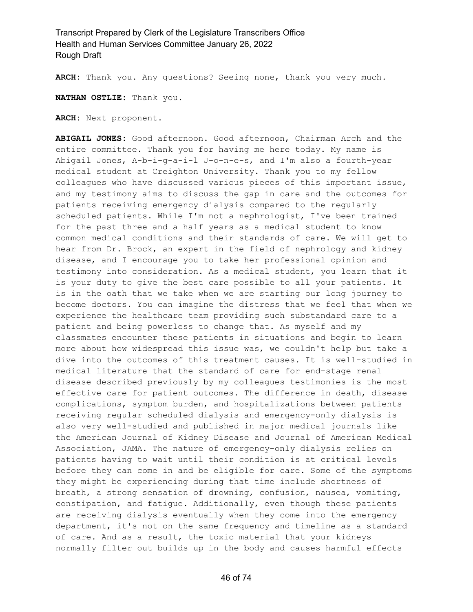**ARCH:** Thank you. Any questions? Seeing none, thank you very much.

**NATHAN OSTLIE:** Thank you.

**ARCH:** Next proponent.

**ABIGAIL JONES:** Good afternoon. Good afternoon, Chairman Arch and the entire committee. Thank you for having me here today. My name is Abigail Jones, A-b-i-g-a-i-l J-o-n-e-s, and I'm also a fourth-year medical student at Creighton University. Thank you to my fellow colleagues who have discussed various pieces of this important issue, and my testimony aims to discuss the gap in care and the outcomes for patients receiving emergency dialysis compared to the regularly scheduled patients. While I'm not a nephrologist, I've been trained for the past three and a half years as a medical student to know common medical conditions and their standards of care. We will get to hear from Dr. Brock, an expert in the field of nephrology and kidney disease, and I encourage you to take her professional opinion and testimony into consideration. As a medical student, you learn that it is your duty to give the best care possible to all your patients. It is in the oath that we take when we are starting our long journey to become doctors. You can imagine the distress that we feel that when we experience the healthcare team providing such substandard care to a patient and being powerless to change that. As myself and my classmates encounter these patients in situations and begin to learn more about how widespread this issue was, we couldn't help but take a dive into the outcomes of this treatment causes. It is well-studied in medical literature that the standard of care for end-stage renal disease described previously by my colleagues testimonies is the most effective care for patient outcomes. The difference in death, disease complications, symptom burden, and hospitalizations between patients receiving regular scheduled dialysis and emergency-only dialysis is also very well-studied and published in major medical journals like the American Journal of Kidney Disease and Journal of American Medical Association, JAMA. The nature of emergency-only dialysis relies on patients having to wait until their condition is at critical levels before they can come in and be eligible for care. Some of the symptoms they might be experiencing during that time include shortness of breath, a strong sensation of drowning, confusion, nausea, vomiting, constipation, and fatigue. Additionally, even though these patients are receiving dialysis eventually when they come into the emergency department, it's not on the same frequency and timeline as a standard of care. And as a result, the toxic material that your kidneys normally filter out builds up in the body and causes harmful effects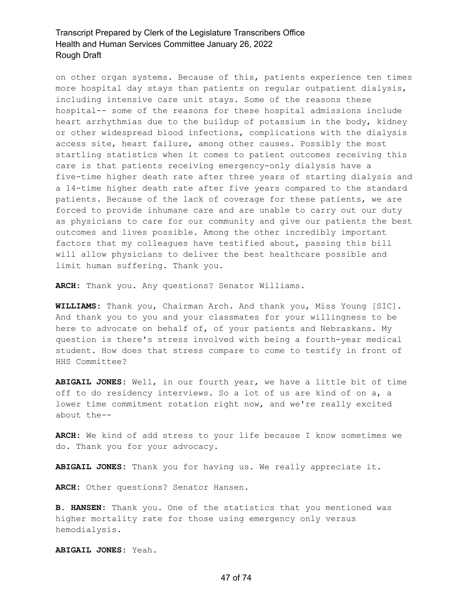on other organ systems. Because of this, patients experience ten times more hospital day stays than patients on regular outpatient dialysis, including intensive care unit stays. Some of the reasons these hospital-- some of the reasons for these hospital admissions include heart arrhythmias due to the buildup of potassium in the body, kidney or other widespread blood infections, complications with the dialysis access site, heart failure, among other causes. Possibly the most startling statistics when it comes to patient outcomes receiving this care is that patients receiving emergency-only dialysis have a five-time higher death rate after three years of starting dialysis and a 14-time higher death rate after five years compared to the standard patients. Because of the lack of coverage for these patients, we are forced to provide inhumane care and are unable to carry out our duty as physicians to care for our community and give our patients the best outcomes and lives possible. Among the other incredibly important factors that my colleagues have testified about, passing this bill will allow physicians to deliver the best healthcare possible and limit human suffering. Thank you.

**ARCH:** Thank you. Any questions? Senator Williams.

**WILLIAMS:** Thank you, Chairman Arch. And thank you, Miss Young [SIC]. And thank you to you and your classmates for your willingness to be here to advocate on behalf of, of your patients and Nebraskans. My question is there's stress involved with being a fourth-year medical student. How does that stress compare to come to testify in front of HHS Committee?

**ABIGAIL JONES:** Well, in our fourth year, we have a little bit of time off to do residency interviews. So a lot of us are kind of on a, a lower time commitment rotation right now, and we're really excited about the--

**ARCH:** We kind of add stress to your life because I know sometimes we do. Thank you for your advocacy.

**ABIGAIL JONES:** Thank you for having us. We really appreciate it.

**ARCH:** Other questions? Senator Hansen.

**B. HANSEN:** Thank you. One of the statistics that you mentioned was higher mortality rate for those using emergency only versus hemodialysis.

**ABIGAIL JONES:** Yeah.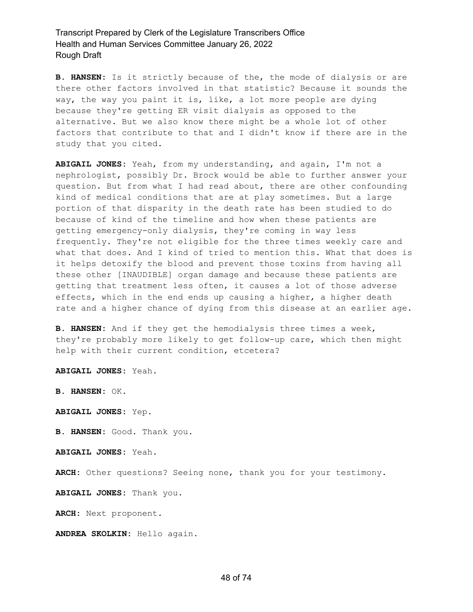**B. HANSEN:** Is it strictly because of the, the mode of dialysis or are there other factors involved in that statistic? Because it sounds the way, the way you paint it is, like, a lot more people are dying because they're getting ER visit dialysis as opposed to the alternative. But we also know there might be a whole lot of other factors that contribute to that and I didn't know if there are in the study that you cited.

**ABIGAIL JONES:** Yeah, from my understanding, and again, I'm not a nephrologist, possibly Dr. Brock would be able to further answer your question. But from what I had read about, there are other confounding kind of medical conditions that are at play sometimes. But a large portion of that disparity in the death rate has been studied to do because of kind of the timeline and how when these patients are getting emergency-only dialysis, they're coming in way less frequently. They're not eligible for the three times weekly care and what that does. And I kind of tried to mention this. What that does is it helps detoxify the blood and prevent those toxins from having all these other [INAUDIBLE] organ damage and because these patients are getting that treatment less often, it causes a lot of those adverse effects, which in the end ends up causing a higher, a higher death rate and a higher chance of dying from this disease at an earlier age.

**B. HANSEN:** And if they get the hemodialysis three times a week, they're probably more likely to get follow-up care, which then might help with their current condition, etcetera?

**ABIGAIL JONES:** Yeah.

**B. HANSEN:** OK.

**ABIGAIL JONES:** Yep.

**B. HANSEN:** Good. Thank you.

**ABIGAIL JONES:** Yeah.

**ARCH:** Other questions? Seeing none, thank you for your testimony.

**ABIGAIL JONES:** Thank you.

**ARCH:** Next proponent.

**ANDREA SKOLKIN:** Hello again.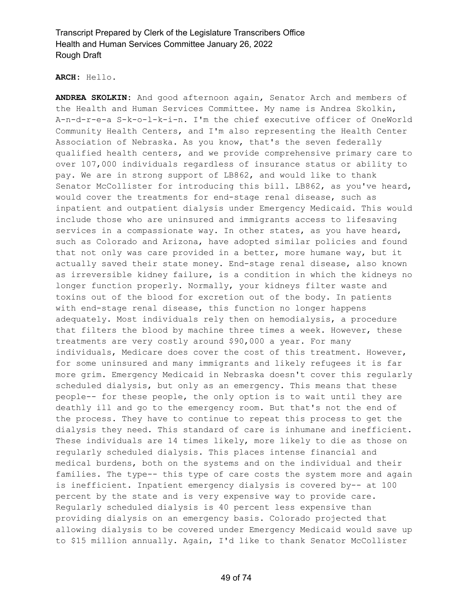**ARCH:** Hello.

**ANDREA SKOLKIN:** And good afternoon again, Senator Arch and members of the Health and Human Services Committee. My name is Andrea Skolkin, A-n-d-r-e-a S-k-o-l-k-i-n. I'm the chief executive officer of OneWorld Community Health Centers, and I'm also representing the Health Center Association of Nebraska. As you know, that's the seven federally qualified health centers, and we provide comprehensive primary care to over 107,000 individuals regardless of insurance status or ability to pay. We are in strong support of LB862, and would like to thank Senator McCollister for introducing this bill. LB862, as you've heard, would cover the treatments for end-stage renal disease, such as inpatient and outpatient dialysis under Emergency Medicaid. This would include those who are uninsured and immigrants access to lifesaving services in a compassionate way. In other states, as you have heard, such as Colorado and Arizona, have adopted similar policies and found that not only was care provided in a better, more humane way, but it actually saved their state money. End-stage renal disease, also known as irreversible kidney failure, is a condition in which the kidneys no longer function properly. Normally, your kidneys filter waste and toxins out of the blood for excretion out of the body. In patients with end-stage renal disease, this function no longer happens adequately. Most individuals rely then on hemodialysis, a procedure that filters the blood by machine three times a week. However, these treatments are very costly around \$90,000 a year. For many individuals, Medicare does cover the cost of this treatment. However, for some uninsured and many immigrants and likely refugees it is far more grim. Emergency Medicaid in Nebraska doesn't cover this regularly scheduled dialysis, but only as an emergency. This means that these people-- for these people, the only option is to wait until they are deathly ill and go to the emergency room. But that's not the end of the process. They have to continue to repeat this process to get the dialysis they need. This standard of care is inhumane and inefficient. These individuals are 14 times likely, more likely to die as those on regularly scheduled dialysis. This places intense financial and medical burdens, both on the systems and on the individual and their families. The type-- this type of care costs the system more and again is inefficient. Inpatient emergency dialysis is covered by-- at 100 percent by the state and is very expensive way to provide care. Regularly scheduled dialysis is 40 percent less expensive than providing dialysis on an emergency basis. Colorado projected that allowing dialysis to be covered under Emergency Medicaid would save up to \$15 million annually. Again, I'd like to thank Senator McCollister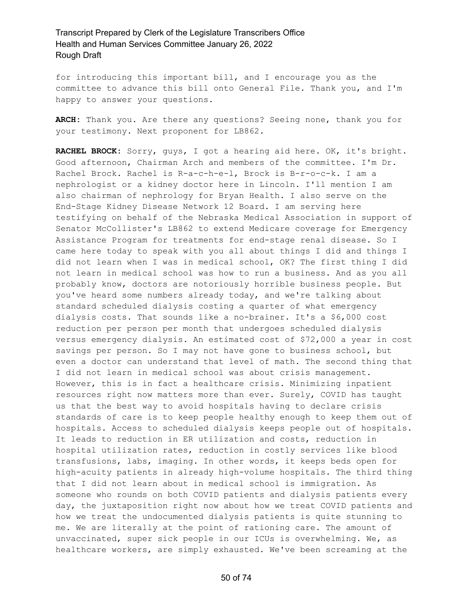for introducing this important bill, and I encourage you as the committee to advance this bill onto General File. Thank you, and I'm happy to answer your questions.

**ARCH:** Thank you. Are there any questions? Seeing none, thank you for your testimony. Next proponent for LB862.

**RACHEL BROCK:** Sorry, guys, I got a hearing aid here. OK, it's bright. Good afternoon, Chairman Arch and members of the committee. I'm Dr. Rachel Brock. Rachel is R-a-c-h-e-l, Brock is B-r-o-c-k. I am a nephrologist or a kidney doctor here in Lincoln. I'll mention I am also chairman of nephrology for Bryan Health. I also serve on the End-Stage Kidney Disease Network 12 Board. I am serving here testifying on behalf of the Nebraska Medical Association in support of Senator McCollister's LB862 to extend Medicare coverage for Emergency Assistance Program for treatments for end-stage renal disease. So I came here today to speak with you all about things I did and things I did not learn when I was in medical school, OK? The first thing I did not learn in medical school was how to run a business. And as you all probably know, doctors are notoriously horrible business people. But you've heard some numbers already today, and we're talking about standard scheduled dialysis costing a quarter of what emergency dialysis costs. That sounds like a no-brainer. It's a \$6,000 cost reduction per person per month that undergoes scheduled dialysis versus emergency dialysis. An estimated cost of \$72,000 a year in cost savings per person. So I may not have gone to business school, but even a doctor can understand that level of math. The second thing that I did not learn in medical school was about crisis management. However, this is in fact a healthcare crisis. Minimizing inpatient resources right now matters more than ever. Surely, COVID has taught us that the best way to avoid hospitals having to declare crisis standards of care is to keep people healthy enough to keep them out of hospitals. Access to scheduled dialysis keeps people out of hospitals. It leads to reduction in ER utilization and costs, reduction in hospital utilization rates, reduction in costly services like blood transfusions, labs, imaging. In other words, it keeps beds open for high-acuity patients in already high-volume hospitals. The third thing that I did not learn about in medical school is immigration. As someone who rounds on both COVID patients and dialysis patients every day, the juxtaposition right now about how we treat COVID patients and how we treat the undocumented dialysis patients is quite stunning to me. We are literally at the point of rationing care. The amount of unvaccinated, super sick people in our ICUs is overwhelming. We, as healthcare workers, are simply exhausted. We've been screaming at the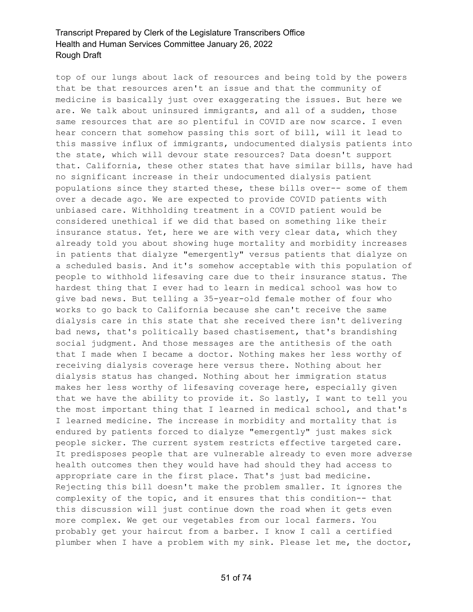top of our lungs about lack of resources and being told by the powers that be that resources aren't an issue and that the community of medicine is basically just over exaggerating the issues. But here we are. We talk about uninsured immigrants, and all of a sudden, those same resources that are so plentiful in COVID are now scarce. I even hear concern that somehow passing this sort of bill, will it lead to this massive influx of immigrants, undocumented dialysis patients into the state, which will devour state resources? Data doesn't support that. California, these other states that have similar bills, have had no significant increase in their undocumented dialysis patient populations since they started these, these bills over-- some of them over a decade ago. We are expected to provide COVID patients with unbiased care. Withholding treatment in a COVID patient would be considered unethical if we did that based on something like their insurance status. Yet, here we are with very clear data, which they already told you about showing huge mortality and morbidity increases in patients that dialyze "emergently" versus patients that dialyze on a scheduled basis. And it's somehow acceptable with this population of people to withhold lifesaving care due to their insurance status. The hardest thing that I ever had to learn in medical school was how to give bad news. But telling a 35-year-old female mother of four who works to go back to California because she can't receive the same dialysis care in this state that she received there isn't delivering bad news, that's politically based chastisement, that's brandishing social judgment. And those messages are the antithesis of the oath that I made when I became a doctor. Nothing makes her less worthy of receiving dialysis coverage here versus there. Nothing about her dialysis status has changed. Nothing about her immigration status makes her less worthy of lifesaving coverage here, especially given that we have the ability to provide it. So lastly, I want to tell you the most important thing that I learned in medical school, and that's I learned medicine. The increase in morbidity and mortality that is endured by patients forced to dialyze "emergently" just makes sick people sicker. The current system restricts effective targeted care. It predisposes people that are vulnerable already to even more adverse health outcomes then they would have had should they had access to appropriate care in the first place. That's just bad medicine. Rejecting this bill doesn't make the problem smaller. It ignores the complexity of the topic, and it ensures that this condition-- that this discussion will just continue down the road when it gets even more complex. We get our vegetables from our local farmers. You probably get your haircut from a barber. I know I call a certified plumber when I have a problem with my sink. Please let me, the doctor,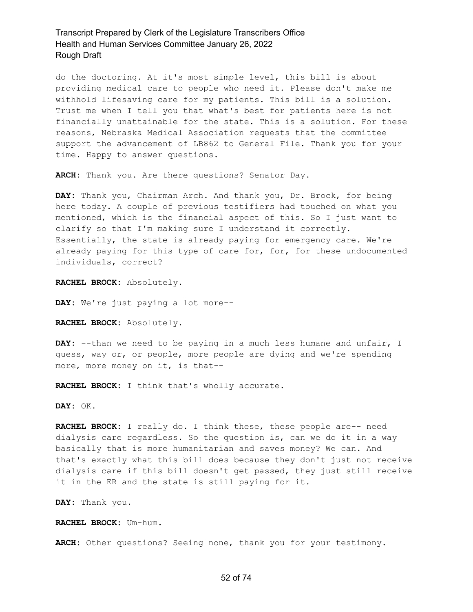do the doctoring. At it's most simple level, this bill is about providing medical care to people who need it. Please don't make me withhold lifesaving care for my patients. This bill is a solution. Trust me when I tell you that what's best for patients here is not financially unattainable for the state. This is a solution. For these reasons, Nebraska Medical Association requests that the committee support the advancement of LB862 to General File. Thank you for your time. Happy to answer questions.

**ARCH:** Thank you. Are there questions? Senator Day.

**DAY:** Thank you, Chairman Arch. And thank you, Dr. Brock, for being here today. A couple of previous testifiers had touched on what you mentioned, which is the financial aspect of this. So I just want to clarify so that I'm making sure I understand it correctly. Essentially, the state is already paying for emergency care. We're already paying for this type of care for, for, for these undocumented individuals, correct?

**RACHEL BROCK:** Absolutely.

**DAY:** We're just paying a lot more--

**RACHEL BROCK:** Absolutely.

DAY: --than we need to be paying in a much less humane and unfair, I guess, way or, or people, more people are dying and we're spending more, more money on it, is that--

**RACHEL BROCK:** I think that's wholly accurate.

**DAY:** OK.

**RACHEL BROCK:** I really do. I think these, these people are-- need dialysis care regardless. So the question is, can we do it in a way basically that is more humanitarian and saves money? We can. And that's exactly what this bill does because they don't just not receive dialysis care if this bill doesn't get passed, they just still receive it in the ER and the state is still paying for it.

**DAY:** Thank you.

**RACHEL BROCK:** Um-hum.

**ARCH:** Other questions? Seeing none, thank you for your testimony.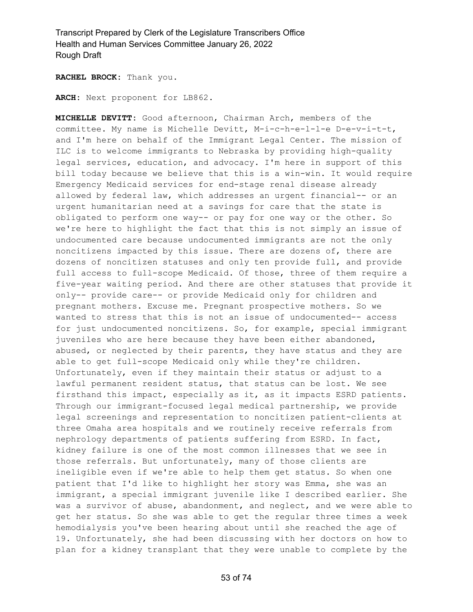**RACHEL BROCK:** Thank you.

**ARCH:** Next proponent for LB862.

**MICHELLE DEVITT:** Good afternoon, Chairman Arch, members of the committee. My name is Michelle Devitt, M-i-c-h-e-l-l-e D-e-v-i-t-t, and I'm here on behalf of the Immigrant Legal Center. The mission of ILC is to welcome immigrants to Nebraska by providing high-quality legal services, education, and advocacy. I'm here in support of this bill today because we believe that this is a win-win. It would require Emergency Medicaid services for end-stage renal disease already allowed by federal law, which addresses an urgent financial-- or an urgent humanitarian need at a savings for care that the state is obligated to perform one way-- or pay for one way or the other. So we're here to highlight the fact that this is not simply an issue of undocumented care because undocumented immigrants are not the only noncitizens impacted by this issue. There are dozens of, there are dozens of noncitizen statuses and only ten provide full, and provide full access to full-scope Medicaid. Of those, three of them require a five-year waiting period. And there are other statuses that provide it only-- provide care-- or provide Medicaid only for children and pregnant mothers. Excuse me. Pregnant prospective mothers. So we wanted to stress that this is not an issue of undocumented-- access for just undocumented noncitizens. So, for example, special immigrant juveniles who are here because they have been either abandoned, abused, or neglected by their parents, they have status and they are able to get full-scope Medicaid only while they're children. Unfortunately, even if they maintain their status or adjust to a lawful permanent resident status, that status can be lost. We see firsthand this impact, especially as it, as it impacts ESRD patients. Through our immigrant-focused legal medical partnership, we provide legal screenings and representation to noncitizen patient-clients at three Omaha area hospitals and we routinely receive referrals from nephrology departments of patients suffering from ESRD. In fact, kidney failure is one of the most common illnesses that we see in those referrals. But unfortunately, many of those clients are ineligible even if we're able to help them get status. So when one patient that I'd like to highlight her story was Emma, she was an immigrant, a special immigrant juvenile like I described earlier. She was a survivor of abuse, abandonment, and neglect, and we were able to get her status. So she was able to get the regular three times a week hemodialysis you've been hearing about until she reached the age of 19. Unfortunately, she had been discussing with her doctors on how to plan for a kidney transplant that they were unable to complete by the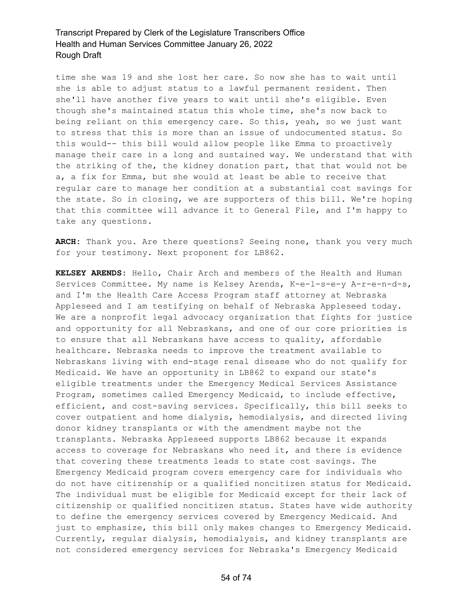time she was 19 and she lost her care. So now she has to wait until she is able to adjust status to a lawful permanent resident. Then she'll have another five years to wait until she's eligible. Even though she's maintained status this whole time, she's now back to being reliant on this emergency care. So this, yeah, so we just want to stress that this is more than an issue of undocumented status. So this would-- this bill would allow people like Emma to proactively manage their care in a long and sustained way. We understand that with the striking of the, the kidney donation part, that that would not be a, a fix for Emma, but she would at least be able to receive that regular care to manage her condition at a substantial cost savings for the state. So in closing, we are supporters of this bill. We're hoping that this committee will advance it to General File, and I'm happy to take any questions.

**ARCH:** Thank you. Are there questions? Seeing none, thank you very much for your testimony. Next proponent for LB862.

**KELSEY ARENDS:** Hello, Chair Arch and members of the Health and Human Services Committee. My name is Kelsey Arends, K-e-l-s-e-y A-r-e-n-d-s, and I'm the Health Care Access Program staff attorney at Nebraska Appleseed and I am testifying on behalf of Nebraska Appleseed today. We are a nonprofit legal advocacy organization that fights for justice and opportunity for all Nebraskans, and one of our core priorities is to ensure that all Nebraskans have access to quality, affordable healthcare. Nebraska needs to improve the treatment available to Nebraskans living with end-stage renal disease who do not qualify for Medicaid. We have an opportunity in LB862 to expand our state's eligible treatments under the Emergency Medical Services Assistance Program, sometimes called Emergency Medicaid, to include effective, efficient, and cost-saving services. Specifically, this bill seeks to cover outpatient and home dialysis, hemodialysis, and directed living donor kidney transplants or with the amendment maybe not the transplants. Nebraska Appleseed supports LB862 because it expands access to coverage for Nebraskans who need it, and there is evidence that covering these treatments leads to state cost savings. The Emergency Medicaid program covers emergency care for individuals who do not have citizenship or a qualified noncitizen status for Medicaid. The individual must be eligible for Medicaid except for their lack of citizenship or qualified noncitizen status. States have wide authority to define the emergency services covered by Emergency Medicaid. And just to emphasize, this bill only makes changes to Emergency Medicaid. Currently, regular dialysis, hemodialysis, and kidney transplants are not considered emergency services for Nebraska's Emergency Medicaid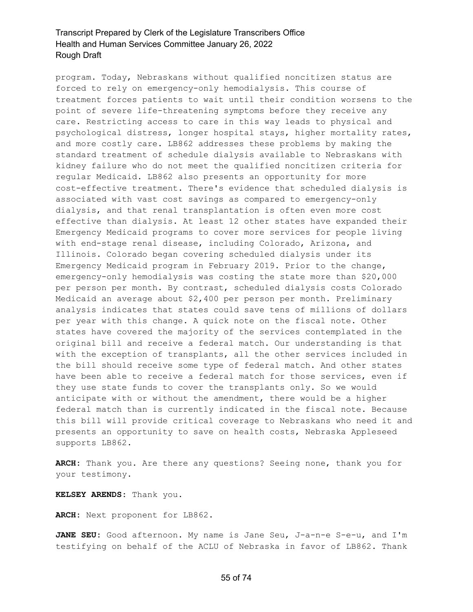program. Today, Nebraskans without qualified noncitizen status are forced to rely on emergency-only hemodialysis. This course of treatment forces patients to wait until their condition worsens to the point of severe life-threatening symptoms before they receive any care. Restricting access to care in this way leads to physical and psychological distress, longer hospital stays, higher mortality rates, and more costly care. LB862 addresses these problems by making the standard treatment of schedule dialysis available to Nebraskans with kidney failure who do not meet the qualified noncitizen criteria for regular Medicaid. LB862 also presents an opportunity for more cost-effective treatment. There's evidence that scheduled dialysis is associated with vast cost savings as compared to emergency-only dialysis, and that renal transplantation is often even more cost effective than dialysis. At least 12 other states have expanded their Emergency Medicaid programs to cover more services for people living with end-stage renal disease, including Colorado, Arizona, and Illinois. Colorado began covering scheduled dialysis under its Emergency Medicaid program in February 2019. Prior to the change, emergency-only hemodialysis was costing the state more than \$20,000 per person per month. By contrast, scheduled dialysis costs Colorado Medicaid an average about \$2,400 per person per month. Preliminary analysis indicates that states could save tens of millions of dollars per year with this change. A quick note on the fiscal note. Other states have covered the majority of the services contemplated in the original bill and receive a federal match. Our understanding is that with the exception of transplants, all the other services included in the bill should receive some type of federal match. And other states have been able to receive a federal match for those services, even if they use state funds to cover the transplants only. So we would anticipate with or without the amendment, there would be a higher federal match than is currently indicated in the fiscal note. Because this bill will provide critical coverage to Nebraskans who need it and presents an opportunity to save on health costs, Nebraska Appleseed supports LB862.

**ARCH:** Thank you. Are there any questions? Seeing none, thank you for your testimony.

**KELSEY ARENDS:** Thank you.

**ARCH:** Next proponent for LB862.

JANE SEU: Good afternoon. My name is Jane Seu, J-a-n-e S-e-u, and I'm testifying on behalf of the ACLU of Nebraska in favor of LB862. Thank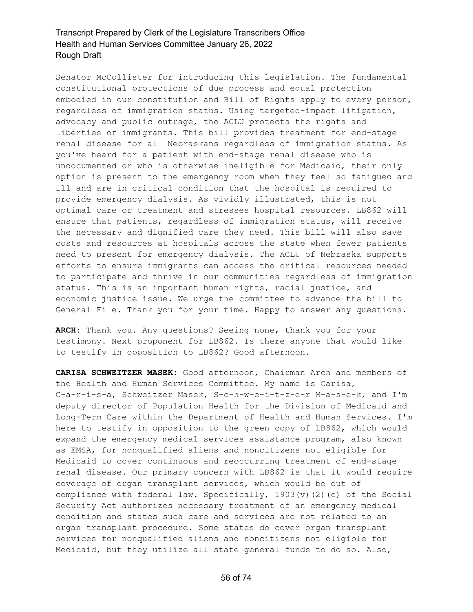Senator McCollister for introducing this legislation. The fundamental constitutional protections of due process and equal protection embodied in our constitution and Bill of Rights apply to every person, regardless of immigration status. Using targeted-impact litigation, advocacy and public outrage, the ACLU protects the rights and liberties of immigrants. This bill provides treatment for end-stage renal disease for all Nebraskans regardless of immigration status. As you've heard for a patient with end-stage renal disease who is undocumented or who is otherwise ineligible for Medicaid, their only option is present to the emergency room when they feel so fatigued and ill and are in critical condition that the hospital is required to provide emergency dialysis. As vividly illustrated, this is not optimal care or treatment and stresses hospital resources. LB862 will ensure that patients, regardless of immigration status, will receive the necessary and dignified care they need. This bill will also save costs and resources at hospitals across the state when fewer patients need to present for emergency dialysis. The ACLU of Nebraska supports efforts to ensure immigrants can access the critical resources needed to participate and thrive in our communities regardless of immigration status. This is an important human rights, racial justice, and economic justice issue. We urge the committee to advance the bill to General File. Thank you for your time. Happy to answer any questions.

**ARCH:** Thank you. Any questions? Seeing none, thank you for your testimony. Next proponent for LB862. Is there anyone that would like to testify in opposition to LB862? Good afternoon.

**CARISA SCHWEITZER MASEK:** Good afternoon, Chairman Arch and members of the Health and Human Services Committee. My name is Carisa, C-a-r-i-s-a, Schweitzer Masek, S-c-h-w-e-i-t-z-e-r M-a-s-e-k, and I'm deputy director of Population Health for the Division of Medicaid and Long-Term Care within the Department of Health and Human Services. I'm here to testify in opposition to the green copy of LB862, which would expand the emergency medical services assistance program, also known as EMSA, for nonqualified aliens and noncitizens not eligible for Medicaid to cover continuous and reoccurring treatment of end-stage renal disease. Our primary concern with LB862 is that it would require coverage of organ transplant services, which would be out of compliance with federal law. Specifically, 1903(v)(2)(c) of the Social Security Act authorizes necessary treatment of an emergency medical condition and states such care and services are not related to an organ transplant procedure. Some states do cover organ transplant services for nonqualified aliens and noncitizens not eligible for Medicaid, but they utilize all state general funds to do so. Also,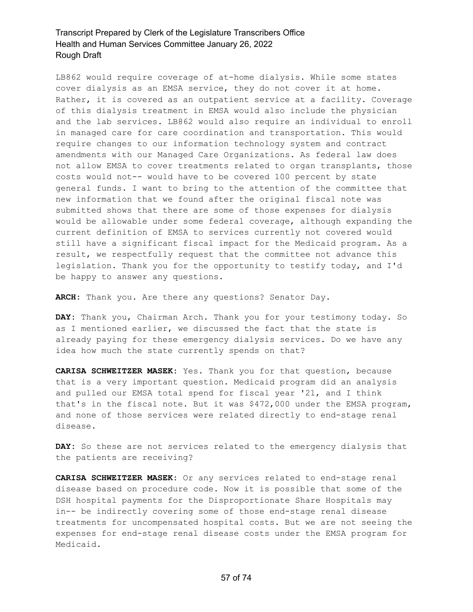LB862 would require coverage of at-home dialysis. While some states cover dialysis as an EMSA service, they do not cover it at home. Rather, it is covered as an outpatient service at a facility. Coverage of this dialysis treatment in EMSA would also include the physician and the lab services. LB862 would also require an individual to enroll in managed care for care coordination and transportation. This would require changes to our information technology system and contract amendments with our Managed Care Organizations. As federal law does not allow EMSA to cover treatments related to organ transplants, those costs would not-- would have to be covered 100 percent by state general funds. I want to bring to the attention of the committee that new information that we found after the original fiscal note was submitted shows that there are some of those expenses for dialysis would be allowable under some federal coverage, although expanding the current definition of EMSA to services currently not covered would still have a significant fiscal impact for the Medicaid program. As a result, we respectfully request that the committee not advance this legislation. Thank you for the opportunity to testify today, and I'd be happy to answer any questions.

**ARCH:** Thank you. Are there any questions? Senator Day.

**DAY:** Thank you, Chairman Arch. Thank you for your testimony today. So as I mentioned earlier, we discussed the fact that the state is already paying for these emergency dialysis services. Do we have any idea how much the state currently spends on that?

**CARISA SCHWEITZER MASEK:** Yes. Thank you for that question, because that is a very important question. Medicaid program did an analysis and pulled our EMSA total spend for fiscal year '21, and I think that's in the fiscal note. But it was \$472,000 under the EMSA program, and none of those services were related directly to end-stage renal disease.

**DAY:** So these are not services related to the emergency dialysis that the patients are receiving?

**CARISA SCHWEITZER MASEK:** Or any services related to end-stage renal disease based on procedure code. Now it is possible that some of the DSH hospital payments for the Disproportionate Share Hospitals may in-- be indirectly covering some of those end-stage renal disease treatments for uncompensated hospital costs. But we are not seeing the expenses for end-stage renal disease costs under the EMSA program for Medicaid.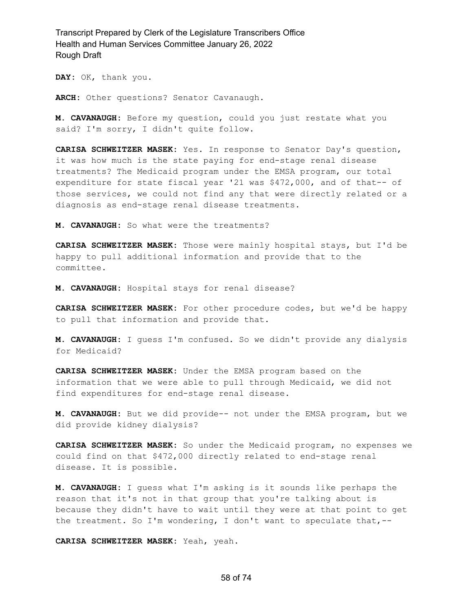**DAY:** OK, thank you.

**ARCH:** Other questions? Senator Cavanaugh.

**M. CAVANAUGH:** Before my question, could you just restate what you said? I'm sorry, I didn't quite follow.

**CARISA SCHWEITZER MASEK:** Yes. In response to Senator Day's question, it was how much is the state paying for end-stage renal disease treatments? The Medicaid program under the EMSA program, our total expenditure for state fiscal year '21 was \$472,000, and of that-- of those services, we could not find any that were directly related or a diagnosis as end-stage renal disease treatments.

**M. CAVANAUGH:** So what were the treatments?

**CARISA SCHWEITZER MASEK:** Those were mainly hospital stays, but I'd be happy to pull additional information and provide that to the committee.

**M. CAVANAUGH:** Hospital stays for renal disease?

**CARISA SCHWEITZER MASEK:** For other procedure codes, but we'd be happy to pull that information and provide that.

**M. CAVANAUGH:** I guess I'm confused. So we didn't provide any dialysis for Medicaid?

**CARISA SCHWEITZER MASEK:** Under the EMSA program based on the information that we were able to pull through Medicaid, we did not find expenditures for end-stage renal disease.

**M. CAVANAUGH:** But we did provide-- not under the EMSA program, but we did provide kidney dialysis?

**CARISA SCHWEITZER MASEK:** So under the Medicaid program, no expenses we could find on that \$472,000 directly related to end-stage renal disease. It is possible.

**M. CAVANAUGH:** I guess what I'm asking is it sounds like perhaps the reason that it's not in that group that you're talking about is because they didn't have to wait until they were at that point to get the treatment. So I'm wondering, I don't want to speculate that,--

**CARISA SCHWEITZER MASEK:** Yeah, yeah.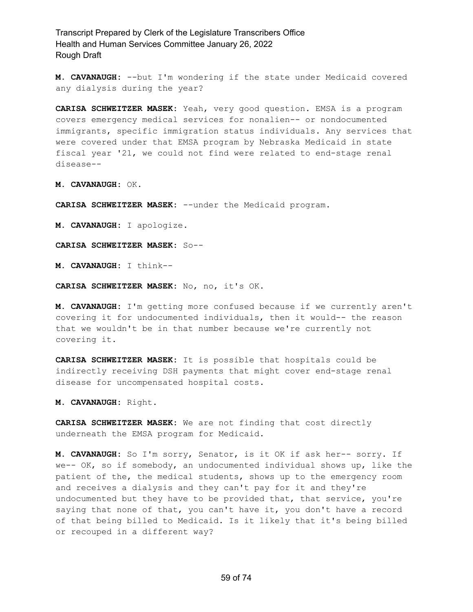**M. CAVANAUGH:** --but I'm wondering if the state under Medicaid covered any dialysis during the year?

**CARISA SCHWEITZER MASEK:** Yeah, very good question. EMSA is a program covers emergency medical services for nonalien-- or nondocumented immigrants, specific immigration status individuals. Any services that were covered under that EMSA program by Nebraska Medicaid in state fiscal year '21, we could not find were related to end-stage renal disease--

**M. CAVANAUGH:** OK.

**CARISA SCHWEITZER MASEK:** --under the Medicaid program.

**M. CAVANAUGH:** I apologize.

**CARISA SCHWEITZER MASEK:** So--

**M. CAVANAUGH:** I think--

**CARISA SCHWEITZER MASEK:** No, no, it's OK.

**M. CAVANAUGH:** I'm getting more confused because if we currently aren't covering it for undocumented individuals, then it would-- the reason that we wouldn't be in that number because we're currently not covering it.

**CARISA SCHWEITZER MASEK:** It is possible that hospitals could be indirectly receiving DSH payments that might cover end-stage renal disease for uncompensated hospital costs.

**M. CAVANAUGH:** Right.

**CARISA SCHWEITZER MASEK:** We are not finding that cost directly underneath the EMSA program for Medicaid.

**M. CAVANAUGH:** So I'm sorry, Senator, is it OK if ask her-- sorry. If we-- OK, so if somebody, an undocumented individual shows up, like the patient of the, the medical students, shows up to the emergency room and receives a dialysis and they can't pay for it and they're undocumented but they have to be provided that, that service, you're saying that none of that, you can't have it, you don't have a record of that being billed to Medicaid. Is it likely that it's being billed or recouped in a different way?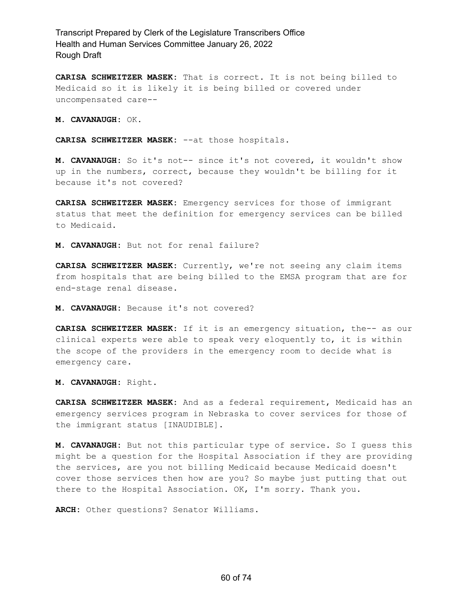**CARISA SCHWEITZER MASEK:** That is correct. It is not being billed to Medicaid so it is likely it is being billed or covered under uncompensated care--

**M. CAVANAUGH:** OK.

**CARISA SCHWEITZER MASEK:** --at those hospitals.

**M. CAVANAUGH:** So it's not-- since it's not covered, it wouldn't show up in the numbers, correct, because they wouldn't be billing for it because it's not covered?

**CARISA SCHWEITZER MASEK:** Emergency services for those of immigrant status that meet the definition for emergency services can be billed to Medicaid.

**M. CAVANAUGH:** But not for renal failure?

**CARISA SCHWEITZER MASEK:** Currently, we're not seeing any claim items from hospitals that are being billed to the EMSA program that are for end-stage renal disease.

**M. CAVANAUGH:** Because it's not covered?

**CARISA SCHWEITZER MASEK:** If it is an emergency situation, the-- as our clinical experts were able to speak very eloquently to, it is within the scope of the providers in the emergency room to decide what is emergency care.

**M. CAVANAUGH:** Right.

**CARISA SCHWEITZER MASEK:** And as a federal requirement, Medicaid has an emergency services program in Nebraska to cover services for those of the immigrant status [INAUDIBLE].

**M. CAVANAUGH:** But not this particular type of service. So I guess this might be a question for the Hospital Association if they are providing the services, are you not billing Medicaid because Medicaid doesn't cover those services then how are you? So maybe just putting that out there to the Hospital Association. OK, I'm sorry. Thank you.

**ARCH:** Other questions? Senator Williams.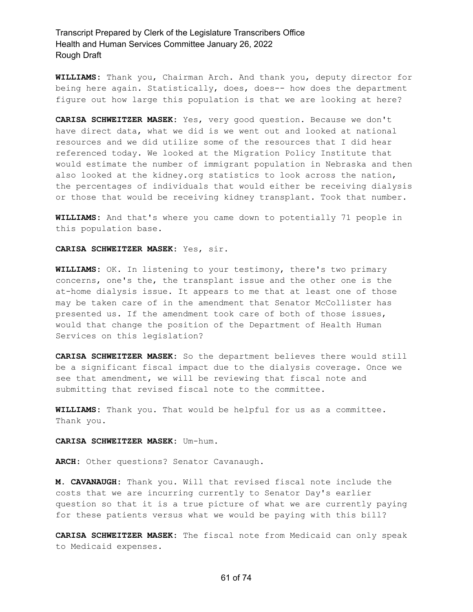**WILLIAMS:** Thank you, Chairman Arch. And thank you, deputy director for being here again. Statistically, does, does-- how does the department figure out how large this population is that we are looking at here?

**CARISA SCHWEITZER MASEK:** Yes, very good question. Because we don't have direct data, what we did is we went out and looked at national resources and we did utilize some of the resources that I did hear referenced today. We looked at the Migration Policy Institute that would estimate the number of immigrant population in Nebraska and then also looked at the kidney.org statistics to look across the nation, the percentages of individuals that would either be receiving dialysis or those that would be receiving kidney transplant. Took that number.

**WILLIAMS:** And that's where you came down to potentially 71 people in this population base.

#### **CARISA SCHWEITZER MASEK:** Yes, sir.

**WILLIAMS:** OK. In listening to your testimony, there's two primary concerns, one's the, the transplant issue and the other one is the at-home dialysis issue. It appears to me that at least one of those may be taken care of in the amendment that Senator McCollister has presented us. If the amendment took care of both of those issues, would that change the position of the Department of Health Human Services on this legislation?

**CARISA SCHWEITZER MASEK:** So the department believes there would still be a significant fiscal impact due to the dialysis coverage. Once we see that amendment, we will be reviewing that fiscal note and submitting that revised fiscal note to the committee.

**WILLIAMS:** Thank you. That would be helpful for us as a committee. Thank you.

#### **CARISA SCHWEITZER MASEK:** Um-hum.

**ARCH:** Other questions? Senator Cavanaugh.

**M. CAVANAUGH:** Thank you. Will that revised fiscal note include the costs that we are incurring currently to Senator Day's earlier question so that it is a true picture of what we are currently paying for these patients versus what we would be paying with this bill?

**CARISA SCHWEITZER MASEK:** The fiscal note from Medicaid can only speak to Medicaid expenses.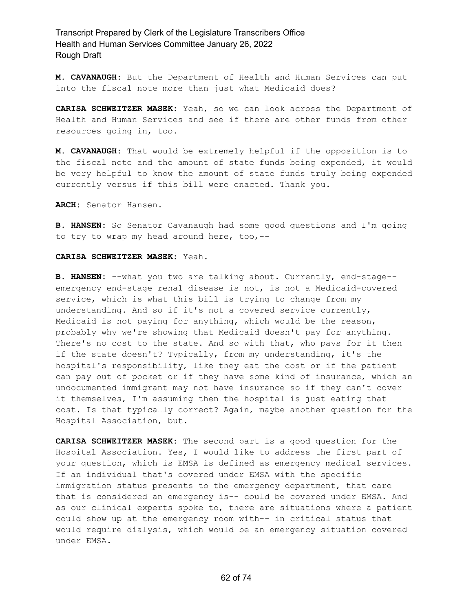**M. CAVANAUGH:** But the Department of Health and Human Services can put into the fiscal note more than just what Medicaid does?

**CARISA SCHWEITZER MASEK:** Yeah, so we can look across the Department of Health and Human Services and see if there are other funds from other resources going in, too.

**M. CAVANAUGH:** That would be extremely helpful if the opposition is to the fiscal note and the amount of state funds being expended, it would be very helpful to know the amount of state funds truly being expended currently versus if this bill were enacted. Thank you.

**ARCH:** Senator Hansen.

**B. HANSEN:** So Senator Cavanaugh had some good questions and I'm going to try to wrap my head around here, too,--

#### **CARISA SCHWEITZER MASEK:** Yeah.

**B. HANSEN:** --what you two are talking about. Currently, end-stage- emergency end-stage renal disease is not, is not a Medicaid-covered service, which is what this bill is trying to change from my understanding. And so if it's not a covered service currently, Medicaid is not paying for anything, which would be the reason, probably why we're showing that Medicaid doesn't pay for anything. There's no cost to the state. And so with that, who pays for it then if the state doesn't? Typically, from my understanding, it's the hospital's responsibility, like they eat the cost or if the patient can pay out of pocket or if they have some kind of insurance, which an undocumented immigrant may not have insurance so if they can't cover it themselves, I'm assuming then the hospital is just eating that cost. Is that typically correct? Again, maybe another question for the Hospital Association, but.

**CARISA SCHWEITZER MASEK:** The second part is a good question for the Hospital Association. Yes, I would like to address the first part of your question, which is EMSA is defined as emergency medical services. If an individual that's covered under EMSA with the specific immigration status presents to the emergency department, that care that is considered an emergency is-- could be covered under EMSA. And as our clinical experts spoke to, there are situations where a patient could show up at the emergency room with-- in critical status that would require dialysis, which would be an emergency situation covered under EMSA.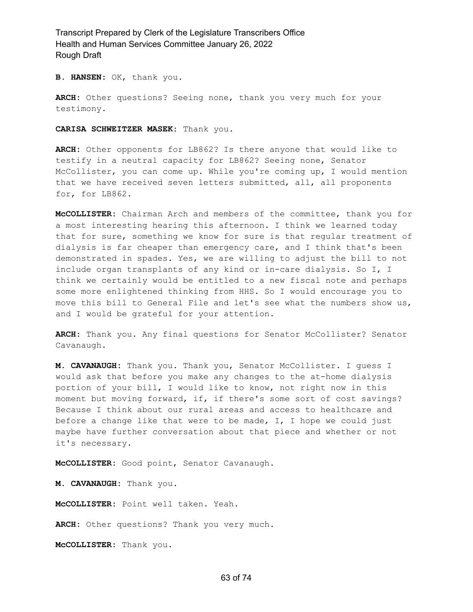**B. HANSEN:** OK, thank you.

**ARCH:** Other questions? Seeing none, thank you very much for your testimony.

**CARISA SCHWEITZER MASEK:** Thank you.

**ARCH:** Other opponents for LB862? Is there anyone that would like to testify in a neutral capacity for LB862? Seeing none, Senator McCollister, you can come up. While you're coming up, I would mention that we have received seven letters submitted, all, all proponents for, for LB862.

**McCOLLISTER:** Chairman Arch and members of the committee, thank you for a most interesting hearing this afternoon. I think we learned today that for sure, something we know for sure is that regular treatment of dialysis is far cheaper than emergency care, and I think that's been demonstrated in spades. Yes, we are willing to adjust the bill to not include organ transplants of any kind or in-care dialysis. So I, I think we certainly would be entitled to a new fiscal note and perhaps some more enlightened thinking from HHS. So I would encourage you to move this bill to General File and let's see what the numbers show us, and I would be grateful for your attention.

**ARCH:** Thank you. Any final questions for Senator McCollister? Senator Cavanaugh.

**M. CAVANAUGH:** Thank you. Thank you, Senator McCollister. I guess I would ask that before you make any changes to the at-home dialysis portion of your bill, I would like to know, not right now in this moment but moving forward, if, if there's some sort of cost savings? Because I think about our rural areas and access to healthcare and before a change like that were to be made, I, I hope we could just maybe have further conversation about that piece and whether or not it's necessary.

**McCOLLISTER:** Good point, Senator Cavanaugh.

**M. CAVANAUGH:** Thank you.

**McCOLLISTER:** Point well taken. Yeah.

**ARCH:** Other questions? Thank you very much.

**McCOLLISTER:** Thank you.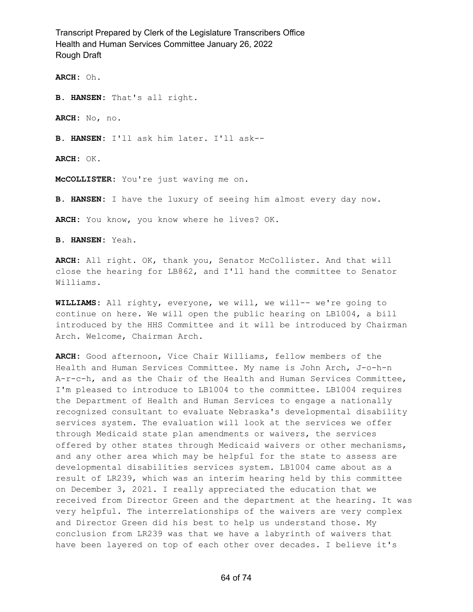**ARCH:** Oh.

**B. HANSEN:** That's all right.

**ARCH:** No, no.

**B. HANSEN:** I'll ask him later. I'll ask--

**ARCH:** OK.

**McCOLLISTER:** You're just waving me on.

**B. HANSEN:** I have the luxury of seeing him almost every day now.

**ARCH:** You know, you know where he lives? OK.

**B. HANSEN:** Yeah.

**ARCH:** All right. OK, thank you, Senator McCollister. And that will close the hearing for LB862, and I'll hand the committee to Senator Williams.

**WILLIAMS:** All righty, everyone, we will, we will-- we're going to continue on here. We will open the public hearing on LB1004, a bill introduced by the HHS Committee and it will be introduced by Chairman Arch. Welcome, Chairman Arch.

**ARCH:** Good afternoon, Vice Chair Williams, fellow members of the Health and Human Services Committee. My name is John Arch, J-o-h-n A-r-c-h, and as the Chair of the Health and Human Services Committee, I'm pleased to introduce to LB1004 to the committee. LB1004 requires the Department of Health and Human Services to engage a nationally recognized consultant to evaluate Nebraska's developmental disability services system. The evaluation will look at the services we offer through Medicaid state plan amendments or waivers, the services offered by other states through Medicaid waivers or other mechanisms, and any other area which may be helpful for the state to assess are developmental disabilities services system. LB1004 came about as a result of LR239, which was an interim hearing held by this committee on December 3, 2021. I really appreciated the education that we received from Director Green and the department at the hearing. It was very helpful. The interrelationships of the waivers are very complex and Director Green did his best to help us understand those. My conclusion from LR239 was that we have a labyrinth of waivers that have been layered on top of each other over decades. I believe it's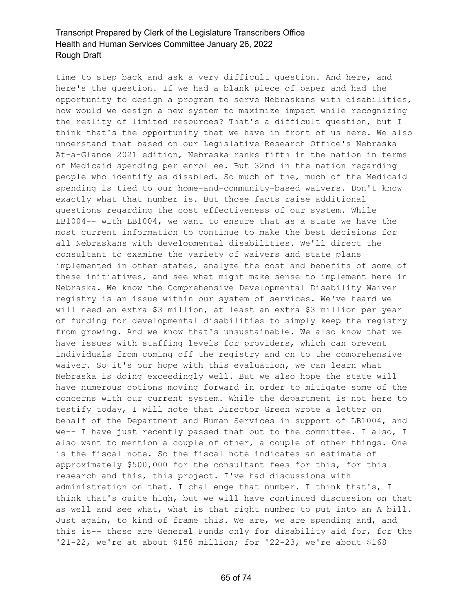time to step back and ask a very difficult question. And here, and here's the question. If we had a blank piece of paper and had the opportunity to design a program to serve Nebraskans with disabilities, how would we design a new system to maximize impact while recognizing the reality of limited resources? That's a difficult question, but I think that's the opportunity that we have in front of us here. We also understand that based on our Legislative Research Office's Nebraska At-a-Glance 2021 edition, Nebraska ranks fifth in the nation in terms of Medicaid spending per enrollee. But 32nd in the nation regarding people who identify as disabled. So much of the, much of the Medicaid spending is tied to our home-and-community-based waivers. Don't know exactly what that number is. But those facts raise additional questions regarding the cost effectiveness of our system. While LB1004-- with LB1004, we want to ensure that as a state we have the most current information to continue to make the best decisions for all Nebraskans with developmental disabilities. We'll direct the consultant to examine the variety of waivers and state plans implemented in other states, analyze the cost and benefits of some of these initiatives, and see what might make sense to implement here in Nebraska. We know the Comprehensive Developmental Disability Waiver registry is an issue within our system of services. We've heard we will need an extra \$3 million, at least an extra \$3 million per year of funding for developmental disabilities to simply keep the registry from growing. And we know that's unsustainable. We also know that we have issues with staffing levels for providers, which can prevent individuals from coming off the registry and on to the comprehensive waiver. So it's our hope with this evaluation, we can learn what Nebraska is doing exceedingly well. But we also hope the state will have numerous options moving forward in order to mitigate some of the concerns with our current system. While the department is not here to testify today, I will note that Director Green wrote a letter on behalf of the Department and Human Services in support of LB1004, and we-- I have just recently passed that out to the committee. I also, I also want to mention a couple of other, a couple of other things. One is the fiscal note. So the fiscal note indicates an estimate of approximately \$500,000 for the consultant fees for this, for this research and this, this project. I've had discussions with administration on that. I challenge that number. I think that's, I think that's quite high, but we will have continued discussion on that as well and see what, what is that right number to put into an A bill. Just again, to kind of frame this. We are, we are spending and, and this is-- these are General Funds only for disability aid for, for the '21-22, we're at about \$158 million; for '22-23, we're about \$168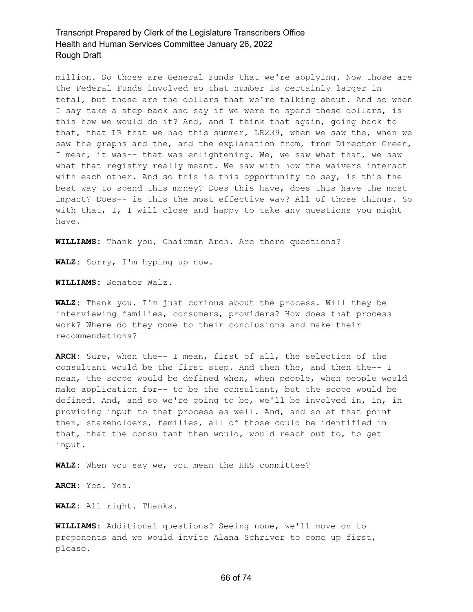million. So those are General Funds that we're applying. Now those are the Federal Funds involved so that number is certainly larger in total, but those are the dollars that we're talking about. And so when I say take a step back and say if we were to spend these dollars, is this how we would do it? And, and I think that again, going back to that, that LR that we had this summer, LR239, when we saw the, when we saw the graphs and the, and the explanation from, from Director Green, I mean, it was-- that was enlightening. We, we saw what that, we saw what that registry really meant. We saw with how the waivers interact with each other. And so this is this opportunity to say, is this the best way to spend this money? Does this have, does this have the most impact? Does-- is this the most effective way? All of those things. So with that, I, I will close and happy to take any questions you might have.

**WILLIAMS:** Thank you, Chairman Arch. Are there questions?

**WALZ:** Sorry, I'm hyping up now.

**WILLIAMS:** Senator Walz.

**WALZ:** Thank you. I'm just curious about the process. Will they be interviewing families, consumers, providers? How does that process work? Where do they come to their conclusions and make their recommendations?

**ARCH:** Sure, when the-- I mean, first of all, the selection of the consultant would be the first step. And then the, and then the-- I mean, the scope would be defined when, when people, when people would make application for-- to be the consultant, but the scope would be defined. And, and so we're going to be, we'll be involved in, in, in providing input to that process as well. And, and so at that point then, stakeholders, families, all of those could be identified in that, that the consultant then would, would reach out to, to get input.

**WALZ:** When you say we, you mean the HHS committee?

**ARCH:** Yes. Yes.

**WALZ:** All right. Thanks.

**WILLIAMS:** Additional questions? Seeing none, we'll move on to proponents and we would invite Alana Schriver to come up first, please.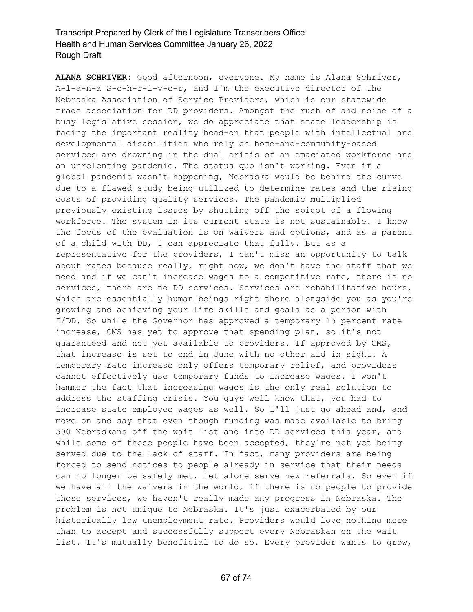**ALANA SCHRIVER:** Good afternoon, everyone. My name is Alana Schriver, A-l-a-n-a S-c-h-r-i-v-e-r, and I'm the executive director of the Nebraska Association of Service Providers, which is our statewide trade association for DD providers. Amongst the rush of and noise of a busy legislative session, we do appreciate that state leadership is facing the important reality head-on that people with intellectual and developmental disabilities who rely on home-and-community-based services are drowning in the dual crisis of an emaciated workforce and an unrelenting pandemic. The status quo isn't working. Even if a global pandemic wasn't happening, Nebraska would be behind the curve due to a flawed study being utilized to determine rates and the rising costs of providing quality services. The pandemic multiplied previously existing issues by shutting off the spigot of a flowing workforce. The system in its current state is not sustainable. I know the focus of the evaluation is on waivers and options, and as a parent of a child with DD, I can appreciate that fully. But as a representative for the providers, I can't miss an opportunity to talk about rates because really, right now, we don't have the staff that we need and if we can't increase wages to a competitive rate, there is no services, there are no DD services. Services are rehabilitative hours, which are essentially human beings right there alongside you as you're growing and achieving your life skills and goals as a person with I/DD. So while the Governor has approved a temporary 15 percent rate increase, CMS has yet to approve that spending plan, so it's not guaranteed and not yet available to providers. If approved by CMS, that increase is set to end in June with no other aid in sight. A temporary rate increase only offers temporary relief, and providers cannot effectively use temporary funds to increase wages. I won't hammer the fact that increasing wages is the only real solution to address the staffing crisis. You guys well know that, you had to increase state employee wages as well. So I'll just go ahead and, and move on and say that even though funding was made available to bring 500 Nebraskans off the wait list and into DD services this year, and while some of those people have been accepted, they're not yet being served due to the lack of staff. In fact, many providers are being forced to send notices to people already in service that their needs can no longer be safely met, let alone serve new referrals. So even if we have all the waivers in the world, if there is no people to provide those services, we haven't really made any progress in Nebraska. The problem is not unique to Nebraska. It's just exacerbated by our historically low unemployment rate. Providers would love nothing more than to accept and successfully support every Nebraskan on the wait list. It's mutually beneficial to do so. Every provider wants to grow,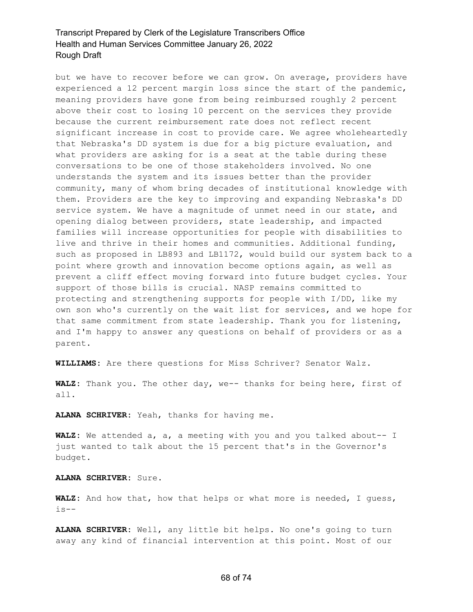but we have to recover before we can grow. On average, providers have experienced a 12 percent margin loss since the start of the pandemic, meaning providers have gone from being reimbursed roughly 2 percent above their cost to losing 10 percent on the services they provide because the current reimbursement rate does not reflect recent significant increase in cost to provide care. We agree wholeheartedly that Nebraska's DD system is due for a big picture evaluation, and what providers are asking for is a seat at the table during these conversations to be one of those stakeholders involved. No one understands the system and its issues better than the provider community, many of whom bring decades of institutional knowledge with them. Providers are the key to improving and expanding Nebraska's DD service system. We have a magnitude of unmet need in our state, and opening dialog between providers, state leadership, and impacted families will increase opportunities for people with disabilities to live and thrive in their homes and communities. Additional funding, such as proposed in LB893 and LB1172, would build our system back to a point where growth and innovation become options again, as well as prevent a cliff effect moving forward into future budget cycles. Your support of those bills is crucial. NASP remains committed to protecting and strengthening supports for people with I/DD, like my own son who's currently on the wait list for services, and we hope for that same commitment from state leadership. Thank you for listening, and I'm happy to answer any questions on behalf of providers or as a parent.

**WILLIAMS:** Are there questions for Miss Schriver? Senator Walz.

**WALZ:** Thank you. The other day, we-- thanks for being here, first of all.

**ALANA SCHRIVER:** Yeah, thanks for having me.

**WALZ:** We attended a, a, a meeting with you and you talked about-- I just wanted to talk about the 15 percent that's in the Governor's budget.

**ALANA SCHRIVER:** Sure.

**WALZ:** And how that, how that helps or what more is needed, I guess, is--

**ALANA SCHRIVER:** Well, any little bit helps. No one's going to turn away any kind of financial intervention at this point. Most of our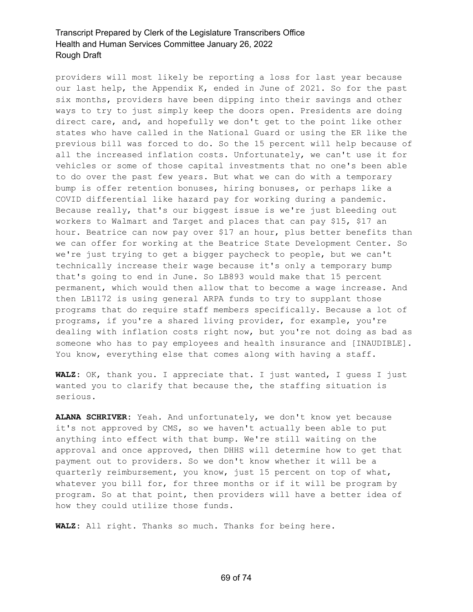providers will most likely be reporting a loss for last year because our last help, the Appendix K, ended in June of 2021. So for the past six months, providers have been dipping into their savings and other ways to try to just simply keep the doors open. Presidents are doing direct care, and, and hopefully we don't get to the point like other states who have called in the National Guard or using the ER like the previous bill was forced to do. So the 15 percent will help because of all the increased inflation costs. Unfortunately, we can't use it for vehicles or some of those capital investments that no one's been able to do over the past few years. But what we can do with a temporary bump is offer retention bonuses, hiring bonuses, or perhaps like a COVID differential like hazard pay for working during a pandemic. Because really, that's our biggest issue is we're just bleeding out workers to Walmart and Target and places that can pay \$15, \$17 an hour. Beatrice can now pay over \$17 an hour, plus better benefits than we can offer for working at the Beatrice State Development Center. So we're just trying to get a bigger paycheck to people, but we can't technically increase their wage because it's only a temporary bump that's going to end in June. So LB893 would make that 15 percent permanent, which would then allow that to become a wage increase. And then LB1172 is using general ARPA funds to try to supplant those programs that do require staff members specifically. Because a lot of programs, if you're a shared living provider, for example, you're dealing with inflation costs right now, but you're not doing as bad as someone who has to pay employees and health insurance and [INAUDIBLE]. You know, everything else that comes along with having a staff.

**WALZ:** OK, thank you. I appreciate that. I just wanted, I guess I just wanted you to clarify that because the, the staffing situation is serious.

**ALANA SCHRIVER:** Yeah. And unfortunately, we don't know yet because it's not approved by CMS, so we haven't actually been able to put anything into effect with that bump. We're still waiting on the approval and once approved, then DHHS will determine how to get that payment out to providers. So we don't know whether it will be a quarterly reimbursement, you know, just 15 percent on top of what, whatever you bill for, for three months or if it will be program by program. So at that point, then providers will have a better idea of how they could utilize those funds.

**WALZ:** All right. Thanks so much. Thanks for being here.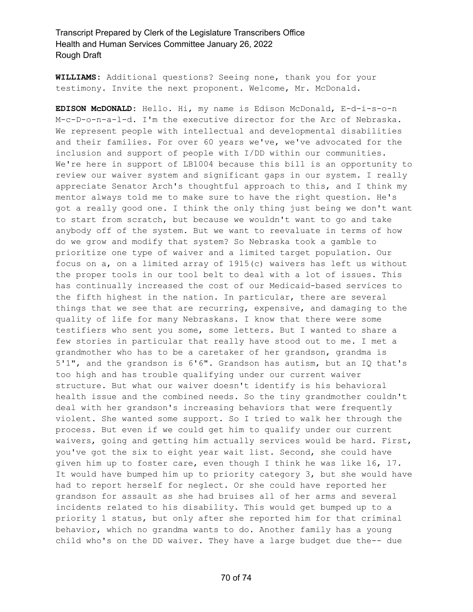**WILLIAMS:** Additional questions? Seeing none, thank you for your testimony. Invite the next proponent. Welcome, Mr. McDonald.

**EDISON McDONALD:** Hello. Hi, my name is Edison McDonald, E-d-i-s-o-n M-c-D-o-n-a-l-d. I'm the executive director for the Arc of Nebraska. We represent people with intellectual and developmental disabilities and their families. For over 60 years we've, we've advocated for the inclusion and support of people with I/DD within our communities. We're here in support of LB1004 because this bill is an opportunity to review our waiver system and significant gaps in our system. I really appreciate Senator Arch's thoughtful approach to this, and I think my mentor always told me to make sure to have the right question. He's got a really good one. I think the only thing just being we don't want to start from scratch, but because we wouldn't want to go and take anybody off of the system. But we want to reevaluate in terms of how do we grow and modify that system? So Nebraska took a gamble to prioritize one type of waiver and a limited target population. Our focus on a, on a limited array of 1915(c) waivers has left us without the proper tools in our tool belt to deal with a lot of issues. This has continually increased the cost of our Medicaid-based services to the fifth highest in the nation. In particular, there are several things that we see that are recurring, expensive, and damaging to the quality of life for many Nebraskans. I know that there were some testifiers who sent you some, some letters. But I wanted to share a few stories in particular that really have stood out to me. I met a grandmother who has to be a caretaker of her grandson, grandma is 5'1", and the grandson is 6'6". Grandson has autism, but an IQ that's too high and has trouble qualifying under our current waiver structure. But what our waiver doesn't identify is his behavioral health issue and the combined needs. So the tiny grandmother couldn't deal with her grandson's increasing behaviors that were frequently violent. She wanted some support. So I tried to walk her through the process. But even if we could get him to qualify under our current waivers, going and getting him actually services would be hard. First, you've got the six to eight year wait list. Second, she could have given him up to foster care, even though I think he was like 16, 17. It would have bumped him up to priority category 3, but she would have had to report herself for neglect. Or she could have reported her grandson for assault as she had bruises all of her arms and several incidents related to his disability. This would get bumped up to a priority 1 status, but only after she reported him for that criminal behavior, which no grandma wants to do. Another family has a young child who's on the DD waiver. They have a large budget due the-- due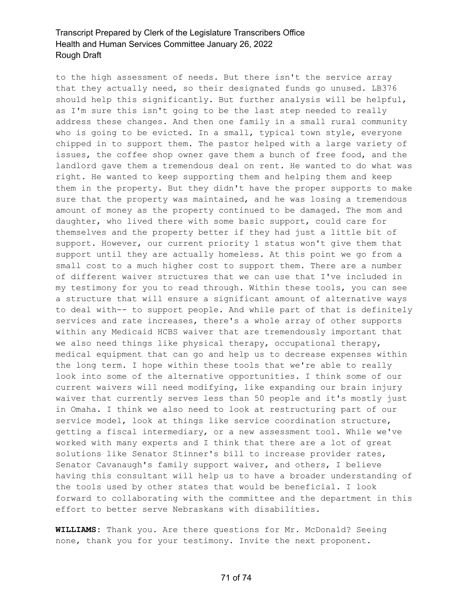to the high assessment of needs. But there isn't the service array that they actually need, so their designated funds go unused. LB376 should help this significantly. But further analysis will be helpful, as I'm sure this isn't going to be the last step needed to really address these changes. And then one family in a small rural community who is going to be evicted. In a small, typical town style, everyone chipped in to support them. The pastor helped with a large variety of issues, the coffee shop owner gave them a bunch of free food, and the landlord gave them a tremendous deal on rent. He wanted to do what was right. He wanted to keep supporting them and helping them and keep them in the property. But they didn't have the proper supports to make sure that the property was maintained, and he was losing a tremendous amount of money as the property continued to be damaged. The mom and daughter, who lived there with some basic support, could care for themselves and the property better if they had just a little bit of support. However, our current priority 1 status won't give them that support until they are actually homeless. At this point we go from a small cost to a much higher cost to support them. There are a number of different waiver structures that we can use that I've included in my testimony for you to read through. Within these tools, you can see a structure that will ensure a significant amount of alternative ways to deal with-- to support people. And while part of that is definitely services and rate increases, there's a whole array of other supports within any Medicaid HCBS waiver that are tremendously important that we also need things like physical therapy, occupational therapy, medical equipment that can go and help us to decrease expenses within the long term. I hope within these tools that we're able to really look into some of the alternative opportunities. I think some of our current waivers will need modifying, like expanding our brain injury waiver that currently serves less than 50 people and it's mostly just in Omaha. I think we also need to look at restructuring part of our service model, look at things like service coordination structure, getting a fiscal intermediary, or a new assessment tool. While we've worked with many experts and I think that there are a lot of great solutions like Senator Stinner's bill to increase provider rates, Senator Cavanaugh's family support waiver, and others, I believe having this consultant will help us to have a broader understanding of the tools used by other states that would be beneficial. I look forward to collaborating with the committee and the department in this effort to better serve Nebraskans with disabilities.

**WILLIAMS:** Thank you. Are there questions for Mr. McDonald? Seeing none, thank you for your testimony. Invite the next proponent.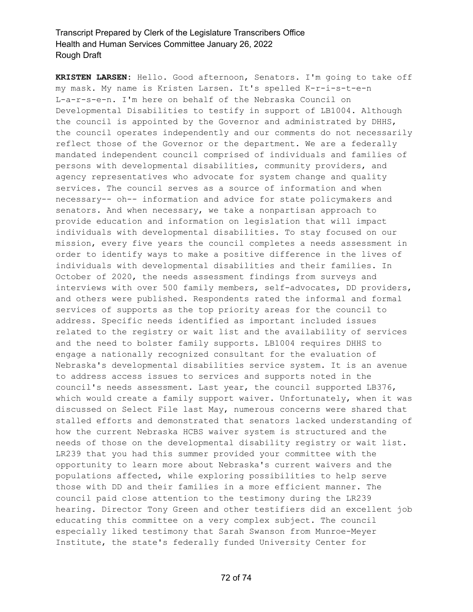**KRISTEN LARSEN:** Hello. Good afternoon, Senators. I'm going to take off my mask. My name is Kristen Larsen. It's spelled K-r-i-s-t-e-n L-a-r-s-e-n. I'm here on behalf of the Nebraska Council on Developmental Disabilities to testify in support of LB1004. Although the council is appointed by the Governor and administrated by DHHS, the council operates independently and our comments do not necessarily reflect those of the Governor or the department. We are a federally mandated independent council comprised of individuals and families of persons with developmental disabilities, community providers, and agency representatives who advocate for system change and quality services. The council serves as a source of information and when necessary-- oh-- information and advice for state policymakers and senators. And when necessary, we take a nonpartisan approach to provide education and information on legislation that will impact individuals with developmental disabilities. To stay focused on our mission, every five years the council completes a needs assessment in order to identify ways to make a positive difference in the lives of individuals with developmental disabilities and their families. In October of 2020, the needs assessment findings from surveys and interviews with over 500 family members, self-advocates, DD providers, and others were published. Respondents rated the informal and formal services of supports as the top priority areas for the council to address. Specific needs identified as important included issues related to the registry or wait list and the availability of services and the need to bolster family supports. LB1004 requires DHHS to engage a nationally recognized consultant for the evaluation of Nebraska's developmental disabilities service system. It is an avenue to address access issues to services and supports noted in the council's needs assessment. Last year, the council supported LB376, which would create a family support waiver. Unfortunately, when it was discussed on Select File last May, numerous concerns were shared that stalled efforts and demonstrated that senators lacked understanding of how the current Nebraska HCBS waiver system is structured and the needs of those on the developmental disability registry or wait list. LR239 that you had this summer provided your committee with the opportunity to learn more about Nebraska's current waivers and the populations affected, while exploring possibilities to help serve those with DD and their families in a more efficient manner. The council paid close attention to the testimony during the LR239 hearing. Director Tony Green and other testifiers did an excellent job educating this committee on a very complex subject. The council especially liked testimony that Sarah Swanson from Munroe-Meyer Institute, the state's federally funded University Center for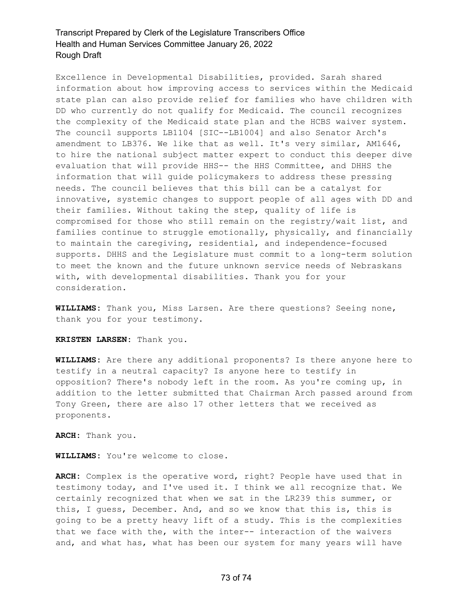## Transcript Prepared by Clerk of the Legislature Transcribers Office Health and Human Services Committee January 26, 2022 Rough Draft

Excellence in Developmental Disabilities, provided. Sarah shared information about how improving access to services within the Medicaid state plan can also provide relief for families who have children with DD who currently do not qualify for Medicaid. The council recognizes the complexity of the Medicaid state plan and the HCBS waiver system. The council supports LB1104 [SIC--LB1004] and also Senator Arch's amendment to LB376. We like that as well. It's very similar, AM1646, to hire the national subject matter expert to conduct this deeper dive evaluation that will provide HHS-- the HHS Committee, and DHHS the information that will guide policymakers to address these pressing needs. The council believes that this bill can be a catalyst for innovative, systemic changes to support people of all ages with DD and their families. Without taking the step, quality of life is compromised for those who still remain on the registry/wait list, and families continue to struggle emotionally, physically, and financially to maintain the caregiving, residential, and independence-focused supports. DHHS and the Legislature must commit to a long-term solution to meet the known and the future unknown service needs of Nebraskans with, with developmental disabilities. Thank you for your consideration.

**WILLIAMS:** Thank you, Miss Larsen. Are there questions? Seeing none, thank you for your testimony.

**KRISTEN LARSEN:** Thank you.

**WILLIAMS:** Are there any additional proponents? Is there anyone here to testify in a neutral capacity? Is anyone here to testify in opposition? There's nobody left in the room. As you're coming up, in addition to the letter submitted that Chairman Arch passed around from Tony Green, there are also 17 other letters that we received as proponents.

**ARCH:** Thank you.

**WILLIAMS:** You're welcome to close.

**ARCH:** Complex is the operative word, right? People have used that in testimony today, and I've used it. I think we all recognize that. We certainly recognized that when we sat in the LR239 this summer, or this, I guess, December. And, and so we know that this is, this is going to be a pretty heavy lift of a study. This is the complexities that we face with the, with the inter-- interaction of the waivers and, and what has, what has been our system for many years will have